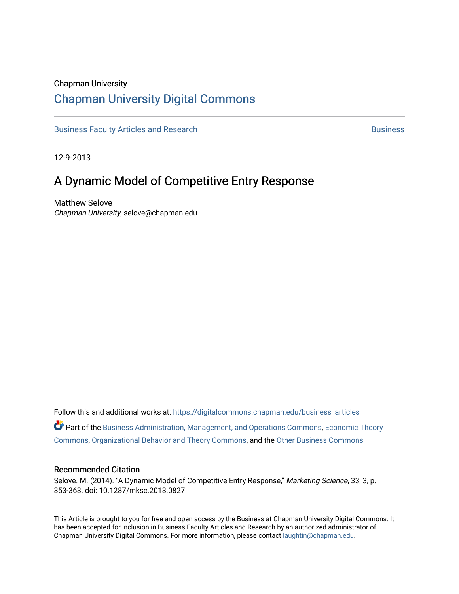#### Chapman University

### [Chapman University Digital Commons](https://digitalcommons.chapman.edu/)

[Business Faculty Articles and Research](https://digitalcommons.chapman.edu/business_articles) [Business](https://digitalcommons.chapman.edu/business) **Business** Business

12-9-2013

## A Dynamic Model of Competitive Entry Response

Matthew Selove Chapman University, selove@chapman.edu

Follow this and additional works at: [https://digitalcommons.chapman.edu/business\\_articles](https://digitalcommons.chapman.edu/business_articles?utm_source=digitalcommons.chapman.edu%2Fbusiness_articles%2F64&utm_medium=PDF&utm_campaign=PDFCoverPages)  Part of the [Business Administration, Management, and Operations Commons](http://network.bepress.com/hgg/discipline/623?utm_source=digitalcommons.chapman.edu%2Fbusiness_articles%2F64&utm_medium=PDF&utm_campaign=PDFCoverPages), [Economic Theory](http://network.bepress.com/hgg/discipline/344?utm_source=digitalcommons.chapman.edu%2Fbusiness_articles%2F64&utm_medium=PDF&utm_campaign=PDFCoverPages) [Commons](http://network.bepress.com/hgg/discipline/344?utm_source=digitalcommons.chapman.edu%2Fbusiness_articles%2F64&utm_medium=PDF&utm_campaign=PDFCoverPages), [Organizational Behavior and Theory Commons,](http://network.bepress.com/hgg/discipline/639?utm_source=digitalcommons.chapman.edu%2Fbusiness_articles%2F64&utm_medium=PDF&utm_campaign=PDFCoverPages) and the [Other Business Commons](http://network.bepress.com/hgg/discipline/647?utm_source=digitalcommons.chapman.edu%2Fbusiness_articles%2F64&utm_medium=PDF&utm_campaign=PDFCoverPages) 

#### Recommended Citation

Selove. M. (2014). "A Dynamic Model of Competitive Entry Response," Marketing Science, 33, 3, p. 353-363. doi: 10.1287/mksc.2013.0827

This Article is brought to you for free and open access by the Business at Chapman University Digital Commons. It has been accepted for inclusion in Business Faculty Articles and Research by an authorized administrator of Chapman University Digital Commons. For more information, please contact [laughtin@chapman.edu](mailto:laughtin@chapman.edu).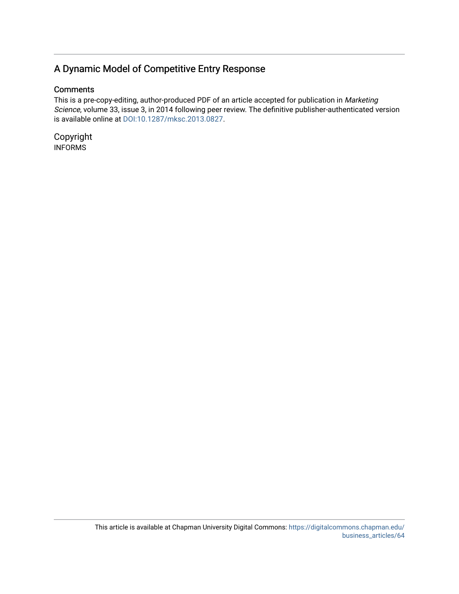### A Dynamic Model of Competitive Entry Response

#### **Comments**

This is a pre-copy-editing, author-produced PDF of an article accepted for publication in Marketing Science, volume 33, issue 3, in 2014 following peer review. The definitive publisher-authenticated version is available online at [DOI:10.1287/mksc.2013.0827.](https://doi.org/10.1287/mksc.2013.0827)

Copyright INFORMS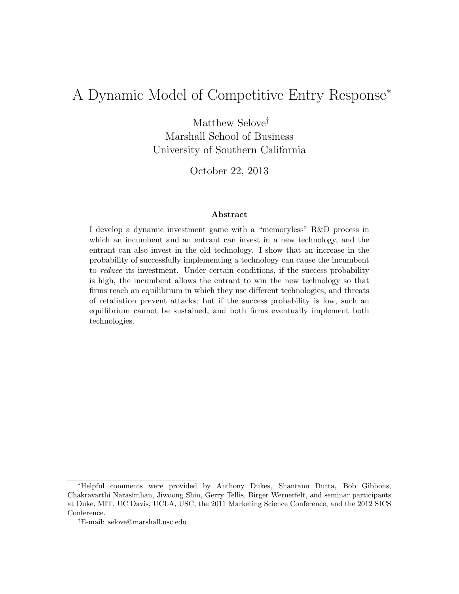# A Dynamic Model of Competitive Entry Response<sup>∗</sup>

Matthew Selove† Marshall School of Business University of Southern California

October 22, 2013

#### Abstract

I develop a dynamic investment game with a "memoryless" R&D process in which an incumbent and an entrant can invest in a new technology, and the entrant can also invest in the old technology. I show that an increase in the probability of successfully implementing a technology can cause the incumbent to reduce its investment. Under certain conditions, if the success probability is high, the incumbent allows the entrant to win the new technology so that firms reach an equilibrium in which they use different technologies, and threats of retaliation prevent attacks; but if the success probability is low, such an equilibrium cannot be sustained, and both firms eventually implement both technologies.

<sup>∗</sup>Helpful comments were provided by Anthony Dukes, Shantanu Dutta, Bob Gibbons, Chakravarthi Narasimhan, Jiwoong Shin, Gerry Tellis, Birger Wernerfelt, and seminar participants at Duke, MIT, UC Davis, UCLA, USC, the 2011 Marketing Science Conference, and the 2012 SICS Conference.

<sup>†</sup>E-mail: selove@marshall.usc.edu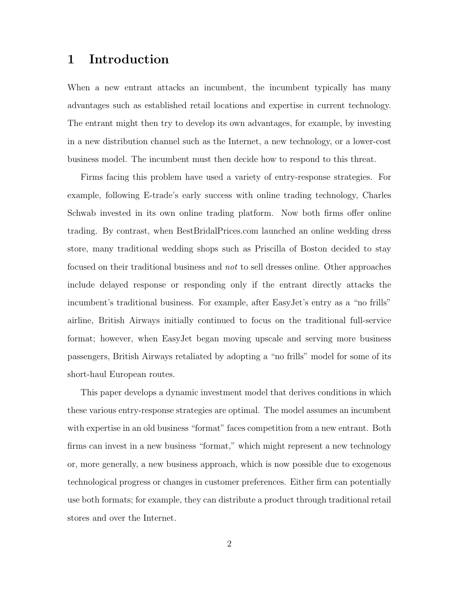### 1 Introduction

When a new entrant attacks an incumbent, the incumbent typically has many advantages such as established retail locations and expertise in current technology. The entrant might then try to develop its own advantages, for example, by investing in a new distribution channel such as the Internet, a new technology, or a lower-cost business model. The incumbent must then decide how to respond to this threat.

Firms facing this problem have used a variety of entry-response strategies. For example, following E-trade's early success with online trading technology, Charles Schwab invested in its own online trading platform. Now both firms offer online trading. By contrast, when BestBridalPrices.com launched an online wedding dress store, many traditional wedding shops such as Priscilla of Boston decided to stay focused on their traditional business and not to sell dresses online. Other approaches include delayed response or responding only if the entrant directly attacks the incumbent's traditional business. For example, after EasyJet's entry as a "no frills" airline, British Airways initially continued to focus on the traditional full-service format; however, when EasyJet began moving upscale and serving more business passengers, British Airways retaliated by adopting a "no frills" model for some of its short-haul European routes.

This paper develops a dynamic investment model that derives conditions in which these various entry-response strategies are optimal. The model assumes an incumbent with expertise in an old business "format" faces competition from a new entrant. Both firms can invest in a new business "format," which might represent a new technology or, more generally, a new business approach, which is now possible due to exogenous technological progress or changes in customer preferences. Either firm can potentially use both formats; for example, they can distribute a product through traditional retail stores and over the Internet.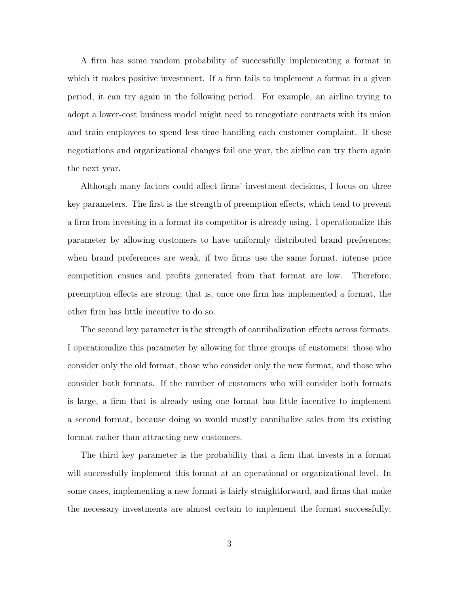A firm has some random probability of successfully implementing a format in which it makes positive investment. If a firm fails to implement a format in a given period, it can try again in the following period. For example, an airline trying to adopt a lower-cost business model might need to renegotiate contracts with its union and train employees to spend less time handling each customer complaint. If these negotiations and organizational changes fail one year, the airline can try them again the next year.

Although many factors could affect firms' investment decisions, I focus on three key parameters. The first is the strength of preemption effects, which tend to prevent a firm from investing in a format its competitor is already using. I operationalize this parameter by allowing customers to have uniformly distributed brand preferences; when brand preferences are weak, if two firms use the same format, intense price competition ensues and profits generated from that format are low. Therefore, preemption effects are strong; that is, once one firm has implemented a format, the other firm has little incentive to do so.

The second key parameter is the strength of cannibalization effects across formats. I operationalize this parameter by allowing for three groups of customers: those who consider only the old format, those who consider only the new format, and those who consider both formats. If the number of customers who will consider both formats is large, a firm that is already using one format has little incentive to implement a second format, because doing so would mostly cannibalize sales from its existing format rather than attracting new customers.

The third key parameter is the probability that a firm that invests in a format will successfully implement this format at an operational or organizational level. In some cases, implementing a new format is fairly straightforward, and firms that make the necessary investments are almost certain to implement the format successfully;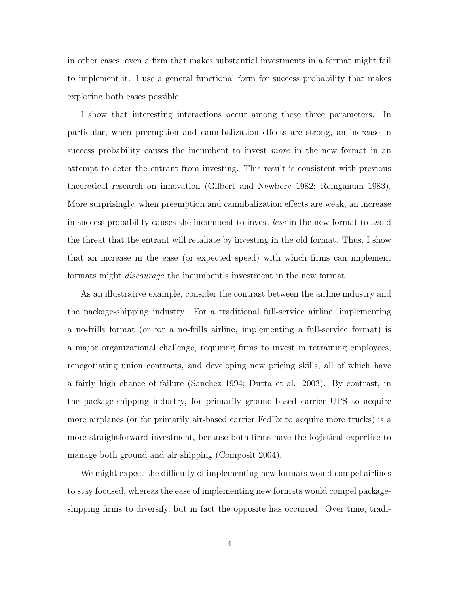in other cases, even a firm that makes substantial investments in a format might fail to implement it. I use a general functional form for success probability that makes exploring both cases possible.

I show that interesting interactions occur among these three parameters. In particular, when preemption and cannibalization effects are strong, an increase in success probability causes the incumbent to invest more in the new format in an attempt to deter the entrant from investing. This result is consistent with previous theoretical research on innovation (Gilbert and Newbery 1982; Reinganum 1983). More surprisingly, when preemption and cannibalization effects are weak, an increase in success probability causes the incumbent to invest less in the new format to avoid the threat that the entrant will retaliate by investing in the old format. Thus, I show that an increase in the ease (or expected speed) with which firms can implement formats might discourage the incumbent's investment in the new format.

As an illustrative example, consider the contrast between the airline industry and the package-shipping industry. For a traditional full-service airline, implementing a no-frills format (or for a no-frills airline, implementing a full-service format) is a major organizational challenge, requiring firms to invest in retraining employees, renegotiating union contracts, and developing new pricing skills, all of which have a fairly high chance of failure (Sanchez 1994; Dutta et al. 2003). By contrast, in the package-shipping industry, for primarily ground-based carrier UPS to acquire more airplanes (or for primarily air-based carrier FedEx to acquire more trucks) is a more straightforward investment, because both firms have the logistical expertise to manage both ground and air shipping (Composit 2004).

We might expect the difficulty of implementing new formats would compel airlines to stay focused, whereas the ease of implementing new formats would compel packageshipping firms to diversify, but in fact the opposite has occurred. Over time, tradi-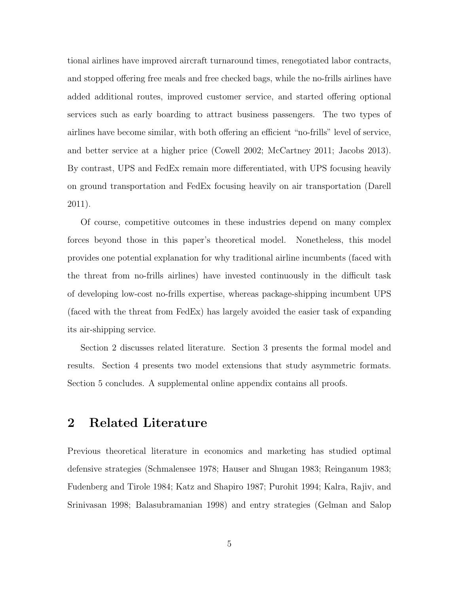tional airlines have improved aircraft turnaround times, renegotiated labor contracts, and stopped offering free meals and free checked bags, while the no-frills airlines have added additional routes, improved customer service, and started offering optional services such as early boarding to attract business passengers. The two types of airlines have become similar, with both offering an efficient "no-frills" level of service, and better service at a higher price (Cowell 2002; McCartney 2011; Jacobs 2013). By contrast, UPS and FedEx remain more differentiated, with UPS focusing heavily on ground transportation and FedEx focusing heavily on air transportation (Darell 2011).

Of course, competitive outcomes in these industries depend on many complex forces beyond those in this paper's theoretical model. Nonetheless, this model provides one potential explanation for why traditional airline incumbents (faced with the threat from no-frills airlines) have invested continuously in the difficult task of developing low-cost no-frills expertise, whereas package-shipping incumbent UPS (faced with the threat from FedEx) has largely avoided the easier task of expanding its air-shipping service.

Section 2 discusses related literature. Section 3 presents the formal model and results. Section 4 presents two model extensions that study asymmetric formats. Section 5 concludes. A supplemental online appendix contains all proofs.

### 2 Related Literature

Previous theoretical literature in economics and marketing has studied optimal defensive strategies (Schmalensee 1978; Hauser and Shugan 1983; Reinganum 1983; Fudenberg and Tirole 1984; Katz and Shapiro 1987; Purohit 1994; Kalra, Rajiv, and Srinivasan 1998; Balasubramanian 1998) and entry strategies (Gelman and Salop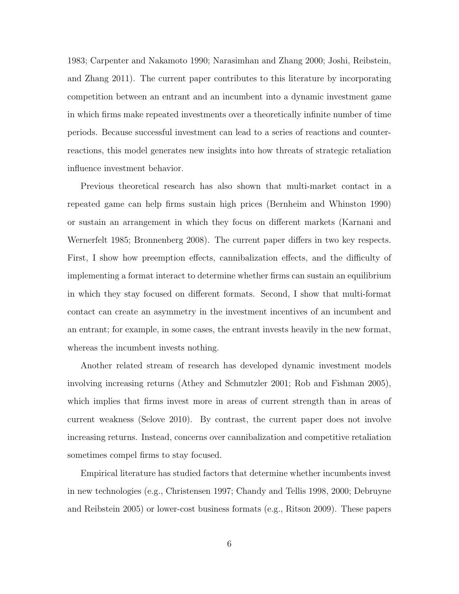1983; Carpenter and Nakamoto 1990; Narasimhan and Zhang 2000; Joshi, Reibstein, and Zhang 2011). The current paper contributes to this literature by incorporating competition between an entrant and an incumbent into a dynamic investment game in which firms make repeated investments over a theoretically infinite number of time periods. Because successful investment can lead to a series of reactions and counterreactions, this model generates new insights into how threats of strategic retaliation influence investment behavior.

Previous theoretical research has also shown that multi-market contact in a repeated game can help firms sustain high prices (Bernheim and Whinston 1990) or sustain an arrangement in which they focus on different markets (Karnani and Wernerfelt 1985; Bronnenberg 2008). The current paper differs in two key respects. First, I show how preemption effects, cannibalization effects, and the difficulty of implementing a format interact to determine whether firms can sustain an equilibrium in which they stay focused on different formats. Second, I show that multi-format contact can create an asymmetry in the investment incentives of an incumbent and an entrant; for example, in some cases, the entrant invests heavily in the new format, whereas the incumbent invests nothing.

Another related stream of research has developed dynamic investment models involving increasing returns (Athey and Schmutzler 2001; Rob and Fishman 2005), which implies that firms invest more in areas of current strength than in areas of current weakness (Selove 2010). By contrast, the current paper does not involve increasing returns. Instead, concerns over cannibalization and competitive retaliation sometimes compel firms to stay focused.

Empirical literature has studied factors that determine whether incumbents invest in new technologies (e.g., Christensen 1997; Chandy and Tellis 1998, 2000; Debruyne and Reibstein 2005) or lower-cost business formats (e.g., Ritson 2009). These papers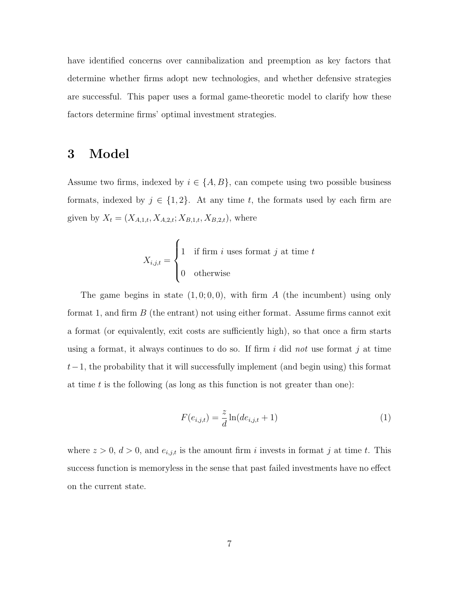have identified concerns over cannibalization and preemption as key factors that determine whether firms adopt new technologies, and whether defensive strategies are successful. This paper uses a formal game-theoretic model to clarify how these factors determine firms' optimal investment strategies.

### 3 Model

Assume two firms, indexed by  $i \in \{A, B\}$ , can compete using two possible business formats, indexed by  $j \in \{1, 2\}$ . At any time t, the formats used by each firm are given by  $X_t = (X_{A,1,t}, X_{A,2,t}; X_{B,1,t}, X_{B,2,t})$ , where

$$
X_{i,j,t} = \begin{cases} 1 & \text{if firm } i \text{ uses format } j \text{ at time } t \\ 0 & \text{otherwise} \end{cases}
$$

The game begins in state  $(1, 0, 0, 0)$ , with firm A (the incumbent) using only format 1, and firm  $B$  (the entrant) not using either format. Assume firms cannot exit a format (or equivalently, exit costs are sufficiently high), so that once a firm starts using a format, it always continues to do so. If firm  $i$  did not use format  $j$  at time  $t-1$ , the probability that it will successfully implement (and begin using) this format at time t is the following (as long as this function is not greater than one):

$$
F(e_{i,j,t}) = \frac{z}{d} \ln(de_{i,j,t} + 1)
$$
\n(1)

where  $z > 0$ ,  $d > 0$ , and  $e_{i,j,t}$  is the amount firm i invests in format j at time t. This success function is memoryless in the sense that past failed investments have no effect on the current state.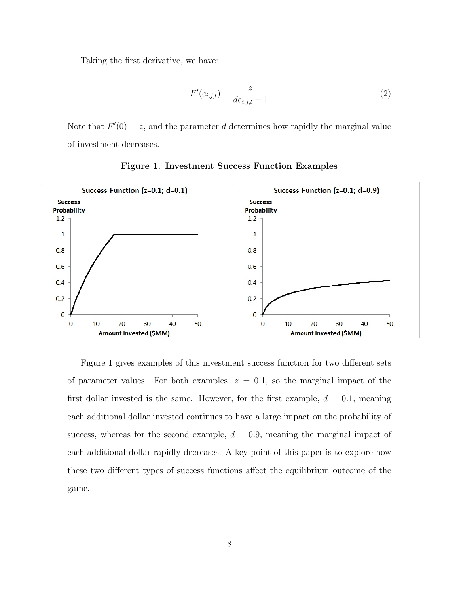Taking the first derivative, we have:

$$
F'(e_{i,j,t}) = \frac{z}{de_{i,j,t} + 1}
$$
 (2)

Note that  $F'(0) = z$ , and the parameter d determines how rapidly the marginal value of investment decreases.



Figure 1. Investment Success Function Examples

Figure 1 gives examples of this investment success function for two different sets of parameter values. For both examples,  $z = 0.1$ , so the marginal impact of the first dollar invested is the same. However, for the first example,  $d = 0.1$ , meaning each additional dollar invested continues to have a large impact on the probability of success, whereas for the second example,  $d = 0.9$ , meaning the marginal impact of each additional dollar rapidly decreases. A key point of this paper is to explore how these two different types of success functions affect the equilibrium outcome of the game.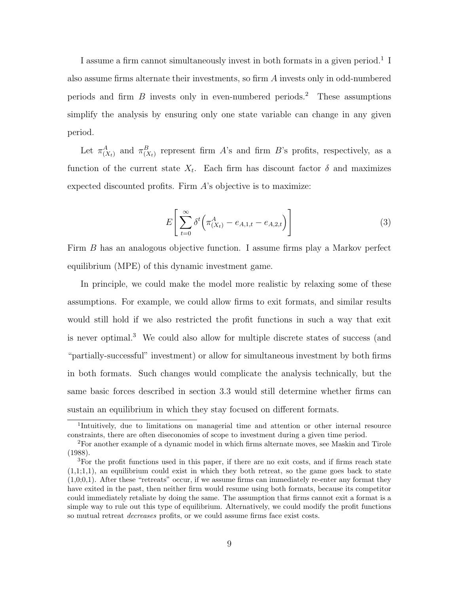I assume a firm cannot simultaneously invest in both formats in a given period.<sup>1</sup> I also assume firms alternate their investments, so firm A invests only in odd-numbered periods and firm  $B$  invests only in even-numbered periods.<sup>2</sup> These assumptions simplify the analysis by ensuring only one state variable can change in any given period.

Let  $\pi_{(X_t)}^A$  and  $\pi_{(X_t)}^B$  represent firm A's and firm B's profits, respectively, as a function of the current state  $X_t$ . Each firm has discount factor  $\delta$  and maximizes expected discounted profits. Firm A's objective is to maximize:

$$
E\left[\sum_{t=0}^{\infty} \delta^t \left(\pi^A_{(X_t)} - e_{A,1,t} - e_{A,2,t}\right)\right]
$$
 (3)

Firm B has an analogous objective function. I assume firms play a Markov perfect equilibrium (MPE) of this dynamic investment game.

In principle, we could make the model more realistic by relaxing some of these assumptions. For example, we could allow firms to exit formats, and similar results would still hold if we also restricted the profit functions in such a way that exit is never optimal.<sup>3</sup> We could also allow for multiple discrete states of success (and "partially-successful" investment) or allow for simultaneous investment by both firms in both formats. Such changes would complicate the analysis technically, but the same basic forces described in section 3.3 would still determine whether firms can sustain an equilibrium in which they stay focused on different formats.

<sup>1</sup> Intuitively, due to limitations on managerial time and attention or other internal resource constraints, there are often diseconomies of scope to investment during a given time period.

<sup>2</sup>For another example of a dynamic model in which firms alternate moves, see Maskin and Tirole (1988).

<sup>&</sup>lt;sup>3</sup>For the profit functions used in this paper, if there are no exit costs, and if firms reach state  $(1,1;1,1)$ , an equilibrium could exist in which they both retreat, so the game goes back to state  $(1.0;0.1)$ . After these "retreats" occur, if we assume firms can immediately re-enter any format they have exited in the past, then neither firm would resume using both formats, because its competitor could immediately retaliate by doing the same. The assumption that firms cannot exit a format is a simple way to rule out this type of equilibrium. Alternatively, we could modify the profit functions so mutual retreat decreases profits, or we could assume firms face exist costs.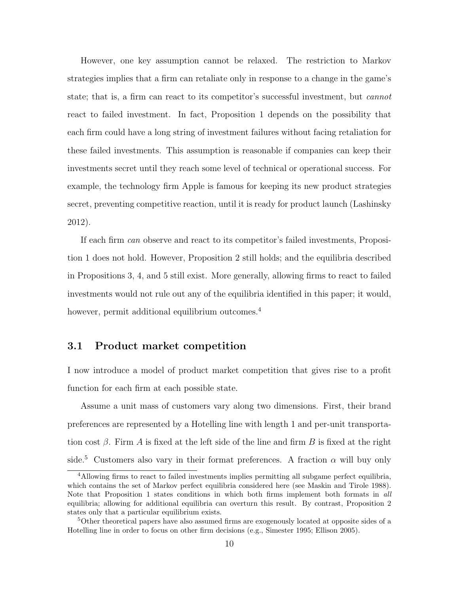However, one key assumption cannot be relaxed. The restriction to Markov strategies implies that a firm can retaliate only in response to a change in the game's state; that is, a firm can react to its competitor's successful investment, but cannot react to failed investment. In fact, Proposition 1 depends on the possibility that each firm could have a long string of investment failures without facing retaliation for these failed investments. This assumption is reasonable if companies can keep their investments secret until they reach some level of technical or operational success. For example, the technology firm Apple is famous for keeping its new product strategies secret, preventing competitive reaction, until it is ready for product launch (Lashinsky 2012).

If each firm can observe and react to its competitor's failed investments, Proposition 1 does not hold. However, Proposition 2 still holds; and the equilibria described in Propositions 3, 4, and 5 still exist. More generally, allowing firms to react to failed investments would not rule out any of the equilibria identified in this paper; it would, however, permit additional equilibrium outcomes.<sup>4</sup>

#### 3.1 Product market competition

I now introduce a model of product market competition that gives rise to a profit function for each firm at each possible state.

Assume a unit mass of customers vary along two dimensions. First, their brand preferences are represented by a Hotelling line with length 1 and per-unit transportation cost  $\beta$ . Firm A is fixed at the left side of the line and firm B is fixed at the right side.<sup>5</sup> Customers also vary in their format preferences. A fraction  $\alpha$  will buy only

<sup>&</sup>lt;sup>4</sup>Allowing firms to react to failed investments implies permitting all subgame perfect equilibria, which contains the set of Markov perfect equilibria considered here (see Maskin and Tirole 1988). Note that Proposition 1 states conditions in which both firms implement both formats in all equilibria; allowing for additional equilibria can overturn this result. By contrast, Proposition 2 states only that a particular equilibrium exists.

<sup>&</sup>lt;sup>5</sup>Other theoretical papers have also assumed firms are exogenously located at opposite sides of a Hotelling line in order to focus on other firm decisions (e.g., Simester 1995; Ellison 2005).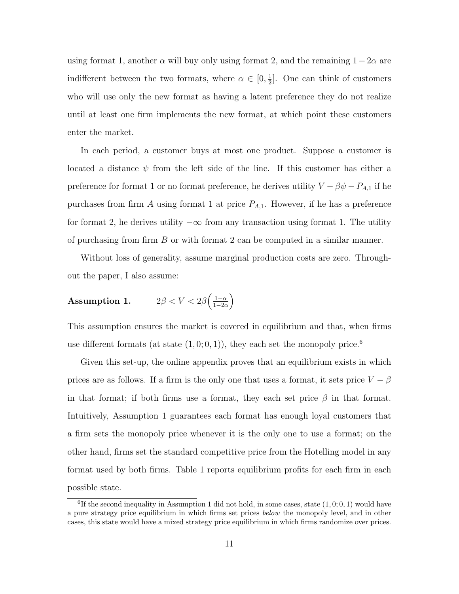using format 1, another  $\alpha$  will buy only using format 2, and the remaining  $1 - 2\alpha$  are indifferent between the two formats, where  $\alpha \in [0, \frac{1}{2}]$  $\frac{1}{2}$ . One can think of customers who will use only the new format as having a latent preference they do not realize until at least one firm implements the new format, at which point these customers enter the market.

In each period, a customer buys at most one product. Suppose a customer is located a distance  $\psi$  from the left side of the line. If this customer has either a preference for format 1 or no format preference, he derives utility  $V - \beta \psi - P_{A,1}$  if he purchases from firm A using format 1 at price  $P_{A,1}$ . However, if he has a preference for format 2, he derives utility  $-\infty$  from any transaction using format 1. The utility of purchasing from firm B or with format 2 can be computed in a similar manner.

Without loss of generality, assume marginal production costs are zero. Throughout the paper, I also assume:

#### Assumption 1.  $\int \frac{1-\alpha}{\alpha}$  $rac{1-\alpha}{1-2\alpha}$

This assumption ensures the market is covered in equilibrium and that, when firms use different formats (at state  $(1,0,0,1)$ ), they each set the monopoly price.<sup>6</sup>

Given this set-up, the online appendix proves that an equilibrium exists in which prices are as follows. If a firm is the only one that uses a format, it sets price  $V - \beta$ in that format; if both firms use a format, they each set price  $\beta$  in that format. Intuitively, Assumption 1 guarantees each format has enough loyal customers that a firm sets the monopoly price whenever it is the only one to use a format; on the other hand, firms set the standard competitive price from the Hotelling model in any format used by both firms. Table 1 reports equilibrium profits for each firm in each possible state.

<sup>&</sup>lt;sup>6</sup>If the second inequality in Assumption 1 did not hold, in some cases, state  $(1,0;0,1)$  would have a pure strategy price equilibrium in which firms set prices below the monopoly level, and in other cases, this state would have a mixed strategy price equilibrium in which firms randomize over prices.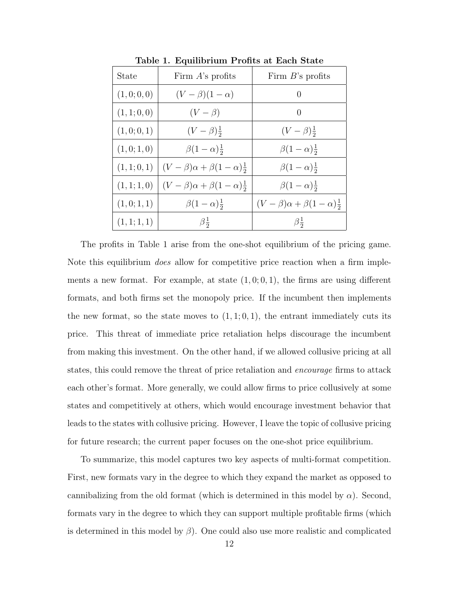| State        | Firm $A$ 's profits                                        | Firm $B$ 's profits                                   |
|--------------|------------------------------------------------------------|-------------------------------------------------------|
| (1,0;0,0)    | $(V - \beta)(1 - \alpha)$                                  | $\left( \right)$                                      |
| (1, 1; 0, 0) | $(V - \beta)$                                              | $\left( \right)$                                      |
| (1,0;0,1)    | $(V - \beta) \frac{1}{2}$                                  | $(V - \beta) \frac{1}{2}$                             |
| (1,0;1,0)    | $\beta(1-\alpha)^{\frac{1}{2}}$                            | $\beta(1-\alpha)\frac{1}{2}$                          |
|              | $(1,1;0,1)$ $(V-\beta)\alpha + \beta(1-\alpha)\frac{1}{2}$ | $\beta(1-\alpha)\frac{1}{2}$                          |
| (1, 1; 1, 0) | $(V - \beta)\alpha + \beta(1 - \alpha)^{\frac{1}{2}}$      | $\beta(1-\alpha)\frac{1}{2}$                          |
| (1,0;1,1)    | $\beta(1-\alpha)\frac{1}{2}$                               | $(V - \beta)\alpha + \beta(1 - \alpha)^{\frac{1}{2}}$ |
| (1, 1; 1, 1) | $\beta_{\frac{1}{2}}$                                      | $\beta_{\frac{1}{2}}$                                 |

Table 1. Equilibrium Profits at Each State

The profits in Table 1 arise from the one-shot equilibrium of the pricing game. Note this equilibrium *does* allow for competitive price reaction when a firm implements a new format. For example, at state  $(1,0;0,1)$ , the firms are using different formats, and both firms set the monopoly price. If the incumbent then implements the new format, so the state moves to  $(1, 1; 0, 1)$ , the entrant immediately cuts its price. This threat of immediate price retaliation helps discourage the incumbent from making this investment. On the other hand, if we allowed collusive pricing at all states, this could remove the threat of price retaliation and *encourage* firms to attack each other's format. More generally, we could allow firms to price collusively at some states and competitively at others, which would encourage investment behavior that leads to the states with collusive pricing. However, I leave the topic of collusive pricing for future research; the current paper focuses on the one-shot price equilibrium.

To summarize, this model captures two key aspects of multi-format competition. First, new formats vary in the degree to which they expand the market as opposed to cannibalizing from the old format (which is determined in this model by  $\alpha$ ). Second, formats vary in the degree to which they can support multiple profitable firms (which is determined in this model by  $\beta$ ). One could also use more realistic and complicated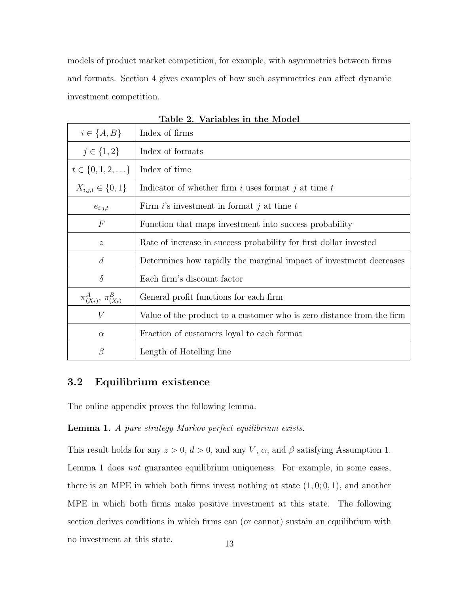models of product market competition, for example, with asymmetries between firms and formats. Section 4 gives examples of how such asymmetries can affect dynamic investment competition.

| $i \in \{A, B\}$               | Index of firms                                                        |  |
|--------------------------------|-----------------------------------------------------------------------|--|
| $j \in \{1,2\}$                | Index of formats                                                      |  |
| $t \in \{0, 1, 2, \ldots\}$    | Index of time                                                         |  |
| $X_{i,j,t} \in \{0,1\}$        | Indicator of whether firm i uses format j at time $t$                 |  |
| $e_{i,j,t}$                    | Firm $i$ 's investment in format j at time t                          |  |
| $\boldsymbol{F}$               | Function that maps investment into success probability                |  |
| $\mathcal{Z}$                  | Rate of increase in success probability for first dollar invested     |  |
| $\overline{d}$                 | Determines how rapidly the marginal impact of investment decreases    |  |
| $\delta$                       | Each firm's discount factor                                           |  |
| $\pi_{(X_t)}^A, \pi_{(X_t)}^B$ | General profit functions for each firm                                |  |
| V                              | Value of the product to a customer who is zero distance from the firm |  |
| $\alpha$                       | Fraction of customers loyal to each format                            |  |
| β                              | Length of Hotelling line                                              |  |

Table 2. Variables in the Model

### 3.2 Equilibrium existence

The online appendix proves the following lemma.

#### Lemma 1. A pure strategy Markov perfect equilibrium exists.

This result holds for any  $z > 0$ ,  $d > 0$ , and any V,  $\alpha$ , and  $\beta$  satisfying Assumption 1. Lemma 1 does not guarantee equilibrium uniqueness. For example, in some cases, there is an MPE in which both firms invest nothing at state  $(1, 0; 0, 1)$ , and another MPE in which both firms make positive investment at this state. The following section derives conditions in which firms can (or cannot) sustain an equilibrium with no investment at this state. 13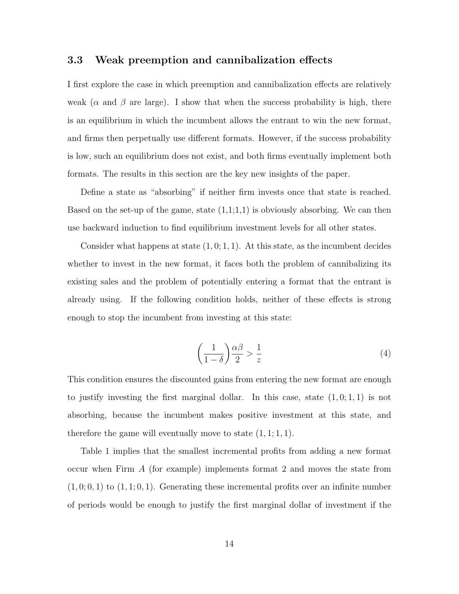#### 3.3 Weak preemption and cannibalization effects

I first explore the case in which preemption and cannibalization effects are relatively weak ( $\alpha$  and  $\beta$  are large). I show that when the success probability is high, there is an equilibrium in which the incumbent allows the entrant to win the new format, and firms then perpetually use different formats. However, if the success probability is low, such an equilibrium does not exist, and both firms eventually implement both formats. The results in this section are the key new insights of the paper.

Define a state as "absorbing" if neither firm invests once that state is reached. Based on the set-up of the game, state  $(1,1;1,1)$  is obviously absorbing. We can then use backward induction to find equilibrium investment levels for all other states.

Consider what happens at state  $(1, 0; 1, 1)$ . At this state, as the incumbent decides whether to invest in the new format, it faces both the problem of cannibalizing its existing sales and the problem of potentially entering a format that the entrant is already using. If the following condition holds, neither of these effects is strong enough to stop the incumbent from investing at this state:

$$
\left(\frac{1}{1-\delta}\right)\frac{\alpha\beta}{2} > \frac{1}{z} \tag{4}
$$

This condition ensures the discounted gains from entering the new format are enough to justify investing the first marginal dollar. In this case, state  $(1, 0; 1, 1)$  is not absorbing, because the incumbent makes positive investment at this state, and therefore the game will eventually move to state  $(1, 1; 1, 1)$ .

Table 1 implies that the smallest incremental profits from adding a new format occur when Firm A (for example) implements format 2 and moves the state from  $(1, 0, 0, 1)$  to  $(1, 1, 0, 1)$ . Generating these incremental profits over an infinite number of periods would be enough to justify the first marginal dollar of investment if the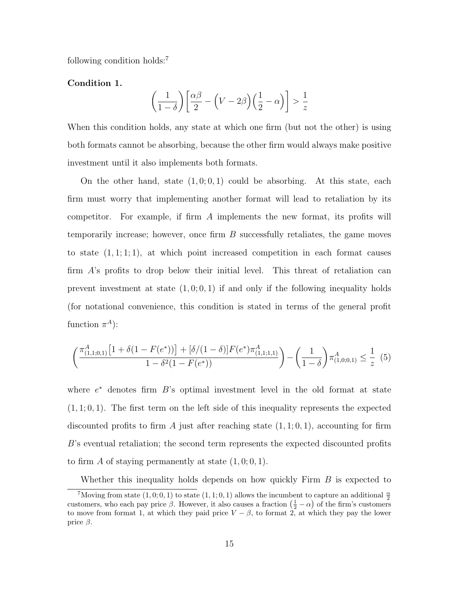following condition holds:<sup>7</sup>

Condition 1.

$$
\left(\frac{1}{1-\delta}\right)\left[\frac{\alpha\beta}{2} - \left(V - 2\beta\right)\left(\frac{1}{2} - \alpha\right)\right] > \frac{1}{z}
$$

When this condition holds, any state at which one firm (but not the other) is using both formats cannot be absorbing, because the other firm would always make positive investment until it also implements both formats.

On the other hand, state  $(1, 0, 0, 1)$  could be absorbing. At this state, each firm must worry that implementing another format will lead to retaliation by its competitor. For example, if firm A implements the new format, its profits will temporarily increase; however, once firm  $B$  successfully retaliates, the game moves to state  $(1, 1; 1; 1)$ , at which point increased competition in each format causes firm A's profits to drop below their initial level. This threat of retaliation can prevent investment at state  $(1,0;0,1)$  if and only if the following inequality holds (for notational convenience, this condition is stated in terms of the general profit function  $\pi^A$ :

$$
\left(\frac{\pi_{(1,1;0,1)}^A \left[1+\delta(1-F(e^*))\right] + [\delta/(1-\delta)]F(e^*)\pi_{(1,1;1,1)}^A}{1-\delta^2(1-F(e^*))}\right) - \left(\frac{1}{1-\delta}\right)\pi_{(1,0;0,1)}^A \le \frac{1}{z} \tag{5}
$$

where  $e^*$  denotes firm  $B$ 's optimal investment level in the old format at state  $(1, 1; 0, 1)$ . The first term on the left side of this inequality represents the expected discounted profits to firm A just after reaching state  $(1, 1; 0, 1)$ , accounting for firm B's eventual retaliation; the second term represents the expected discounted profits to firm A of staying permanently at state  $(1, 0, 0, 1)$ .

Whether this inequality holds depends on how quickly Firm  $B$  is expected to

<sup>&</sup>lt;sup>7</sup>Moving from state  $(1,0,0,1)$  to state  $(1,1,0,1)$  allows the incumbent to capture an additional  $\frac{\alpha}{2}$ customers, who each pay price  $\beta$ . However, it also causes a fraction  $(\frac{1}{2} - \alpha)$  of the firm's customers to move from format 1, at which they paid price  $V - \beta$ , to format 2, at which they pay the lower price  $\beta$ .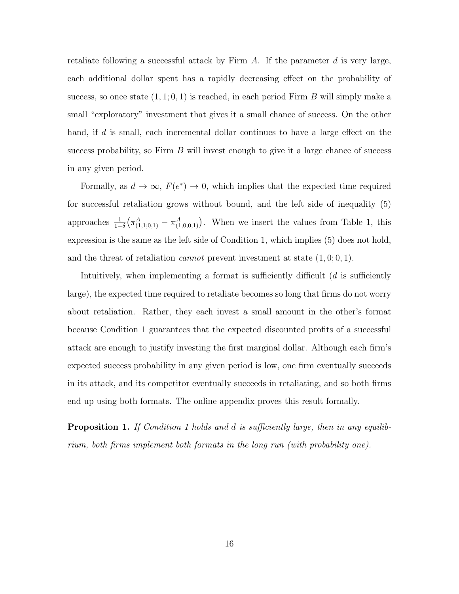retaliate following a successful attack by Firm  $A$ . If the parameter  $d$  is very large, each additional dollar spent has a rapidly decreasing effect on the probability of success, so once state  $(1, 1; 0, 1)$  is reached, in each period Firm B will simply make a small "exploratory" investment that gives it a small chance of success. On the other hand, if d is small, each incremental dollar continues to have a large effect on the success probability, so Firm  $B$  will invest enough to give it a large chance of success in any given period.

Formally, as  $d \to \infty$ ,  $F(e^*) \to 0$ , which implies that the expected time required for successful retaliation grows without bound, and the left side of inequality (5) approaches  $\frac{1}{1-\delta}(\pi^A_{(1,1;0,1)} - \pi^A_{(1,0;0,1)})$ . When we insert the values from Table 1, this expression is the same as the left side of Condition 1, which implies (5) does not hold, and the threat of retaliation *cannot* prevent investment at state  $(1, 0, 0, 1)$ .

Intuitively, when implementing a format is sufficiently difficult  $(d$  is sufficiently large), the expected time required to retaliate becomes so long that firms do not worry about retaliation. Rather, they each invest a small amount in the other's format because Condition 1 guarantees that the expected discounted profits of a successful attack are enough to justify investing the first marginal dollar. Although each firm's expected success probability in any given period is low, one firm eventually succeeds in its attack, and its competitor eventually succeeds in retaliating, and so both firms end up using both formats. The online appendix proves this result formally.

**Proposition 1.** If Condition 1 holds and d is sufficiently large, then in any equilibrium, both firms implement both formats in the long run (with probability one).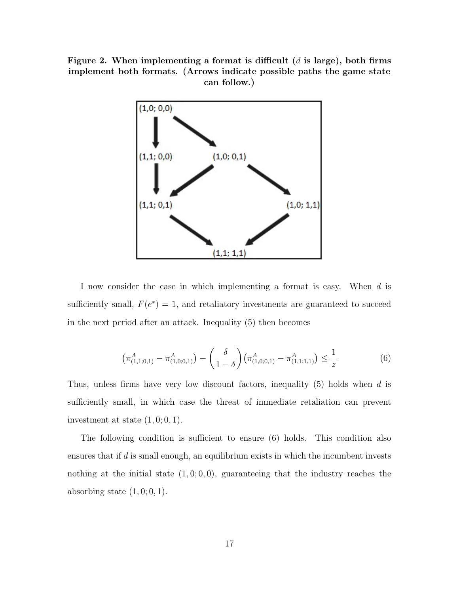Figure 2. When implementing a format is difficult  $(d \text{ is large})$ , both firms implement both formats. (Arrows indicate possible paths the game state can follow.)



I now consider the case in which implementing a format is easy. When d is sufficiently small,  $F(e^*) = 1$ , and retaliatory investments are guaranteed to succeed in the next period after an attack. Inequality (5) then becomes

$$
\left(\pi_{(1,1;0,1)}^{A} - \pi_{(1,0;0,1)}^{A}\right) - \left(\frac{\delta}{1-\delta}\right)\left(\pi_{(1,0;0,1)}^{A} - \pi_{(1,1;1,1)}^{A}\right) \le \frac{1}{z}
$$
\n(6)

Thus, unless firms have very low discount factors, inequality (5) holds when d is sufficiently small, in which case the threat of immediate retaliation can prevent investment at state  $(1, 0, 0, 1)$ .

The following condition is sufficient to ensure (6) holds. This condition also ensures that if d is small enough, an equilibrium exists in which the incumbent invests nothing at the initial state  $(1, 0, 0, 0)$ , guaranteeing that the industry reaches the absorbing state  $(1, 0, 0, 1)$ .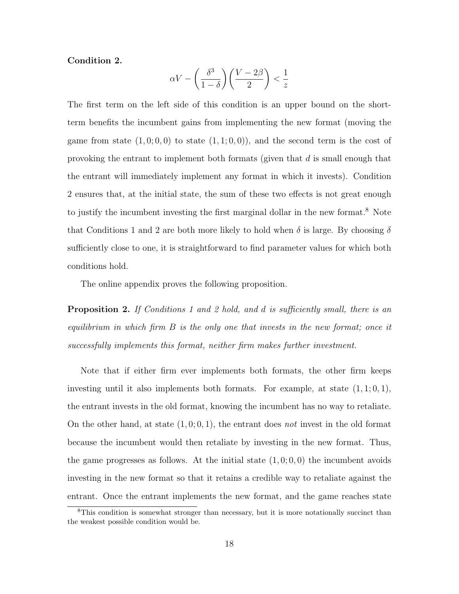#### Condition 2.

$$
\alpha V - \left(\frac{\delta^3}{1-\delta}\right) \left(\frac{V-2\beta}{2}\right) < \frac{1}{z}
$$

The first term on the left side of this condition is an upper bound on the shortterm benefits the incumbent gains from implementing the new format (moving the game from state  $(1,0;0,0)$  to state  $(1,1;0,0)$ , and the second term is the cost of provoking the entrant to implement both formats (given that  $d$  is small enough that the entrant will immediately implement any format in which it invests). Condition 2 ensures that, at the initial state, the sum of these two effects is not great enough to justify the incumbent investing the first marginal dollar in the new format.<sup>8</sup> Note that Conditions 1 and 2 are both more likely to hold when  $\delta$  is large. By choosing  $\delta$ sufficiently close to one, it is straightforward to find parameter values for which both conditions hold.

The online appendix proves the following proposition.

**Proposition 2.** If Conditions 1 and 2 hold, and d is sufficiently small, there is an equilibrium in which firm B is the only one that invests in the new format; once it successfully implements this format, neither firm makes further investment.

Note that if either firm ever implements both formats, the other firm keeps investing until it also implements both formats. For example, at state  $(1, 1; 0, 1)$ , the entrant invests in the old format, knowing the incumbent has no way to retaliate. On the other hand, at state  $(1, 0, 0, 1)$ , the entrant does not invest in the old format because the incumbent would then retaliate by investing in the new format. Thus, the game progresses as follows. At the initial state  $(1, 0, 0, 0)$  the incumbent avoids investing in the new format so that it retains a credible way to retaliate against the entrant. Once the entrant implements the new format, and the game reaches state

<sup>&</sup>lt;sup>8</sup>This condition is somewhat stronger than necessary, but it is more notationally succinct than the weakest possible condition would be.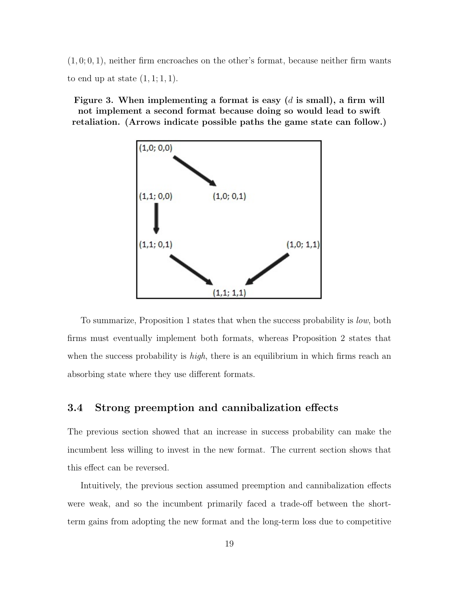$(1, 0, 0, 1)$ , neither firm encroaches on the other's format, because neither firm wants to end up at state  $(1, 1; 1, 1)$ .

Figure 3. When implementing a format is easy  $(d \text{ is small})$ , a firm will not implement a second format because doing so would lead to swift retaliation. (Arrows indicate possible paths the game state can follow.)



To summarize, Proposition 1 states that when the success probability is low, both firms must eventually implement both formats, whereas Proposition 2 states that when the success probability is  $high$ , there is an equilibrium in which firms reach an absorbing state where they use different formats.

#### 3.4 Strong preemption and cannibalization effects

The previous section showed that an increase in success probability can make the incumbent less willing to invest in the new format. The current section shows that this effect can be reversed.

Intuitively, the previous section assumed preemption and cannibalization effects were weak, and so the incumbent primarily faced a trade-off between the shortterm gains from adopting the new format and the long-term loss due to competitive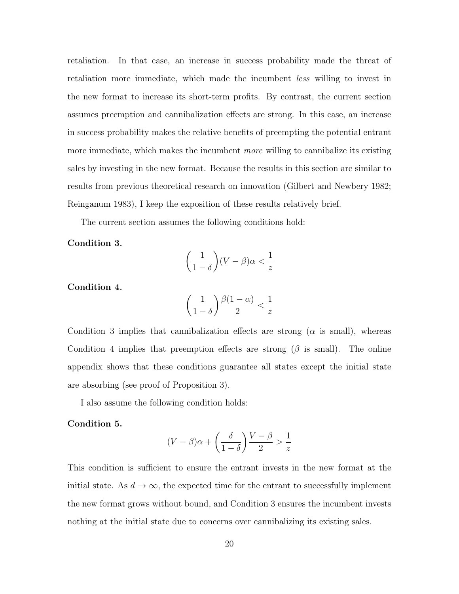retaliation. In that case, an increase in success probability made the threat of retaliation more immediate, which made the incumbent less willing to invest in the new format to increase its short-term profits. By contrast, the current section assumes preemption and cannibalization effects are strong. In this case, an increase in success probability makes the relative benefits of preempting the potential entrant more immediate, which makes the incumbent *more* willing to cannibalize its existing sales by investing in the new format. Because the results in this section are similar to results from previous theoretical research on innovation (Gilbert and Newbery 1982; Reinganum 1983), I keep the exposition of these results relatively brief.

The current section assumes the following conditions hold:

Condition 3.

$$
\left(\frac{1}{1-\delta}\right)(V-\beta)\alpha < \frac{1}{z}
$$

Condition 4.

$$
\left(\frac{1}{1-\delta}\right)\frac{\beta(1-\alpha)}{2} < \frac{1}{z}
$$

Condition 3 implies that cannibalization effects are strong ( $\alpha$  is small), whereas Condition 4 implies that preemption effects are strong ( $\beta$  is small). The online appendix shows that these conditions guarantee all states except the initial state are absorbing (see proof of Proposition 3).

I also assume the following condition holds:

#### Condition 5.

$$
(V - \beta)\alpha + \left(\frac{\delta}{1 - \delta}\right)\frac{V - \beta}{2} > \frac{1}{z}
$$

This condition is sufficient to ensure the entrant invests in the new format at the initial state. As  $d \to \infty$ , the expected time for the entrant to successfully implement the new format grows without bound, and Condition 3 ensures the incumbent invests nothing at the initial state due to concerns over cannibalizing its existing sales.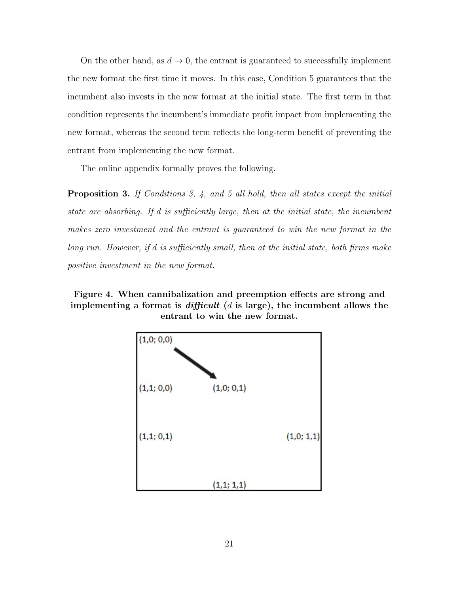On the other hand, as  $d \to 0$ , the entrant is guaranteed to successfully implement the new format the first time it moves. In this case, Condition 5 guarantees that the incumbent also invests in the new format at the initial state. The first term in that condition represents the incumbent's immediate profit impact from implementing the new format, whereas the second term reflects the long-term benefit of preventing the entrant from implementing the new format.

The online appendix formally proves the following.

Proposition 3. If Conditions 3, 4, and 5 all hold, then all states except the initial state are absorbing. If d is sufficiently large, then at the initial state, the incumbent makes zero investment and the entrant is guaranteed to win the new format in the long run. However, if d is sufficiently small, then at the initial state, both firms make positive investment in the new format.

Figure 4. When cannibalization and preemption effects are strong and implementing a format is *difficult*  $(d$  is large), the incumbent allows the entrant to win the new format.

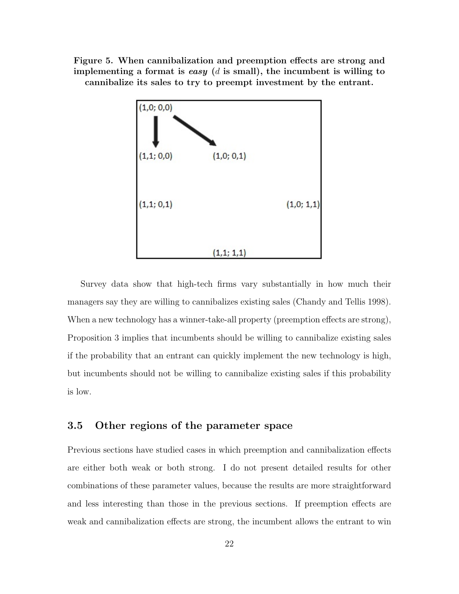Figure 5. When cannibalization and preemption effects are strong and implementing a format is easy  $(d \text{ is small})$ , the incumbent is willing to cannibalize its sales to try to preempt investment by the entrant.



Survey data show that high-tech firms vary substantially in how much their managers say they are willing to cannibalizes existing sales (Chandy and Tellis 1998). When a new technology has a winner-take-all property (preemption effects are strong), Proposition 3 implies that incumbents should be willing to cannibalize existing sales if the probability that an entrant can quickly implement the new technology is high, but incumbents should not be willing to cannibalize existing sales if this probability is low.

### 3.5 Other regions of the parameter space

Previous sections have studied cases in which preemption and cannibalization effects are either both weak or both strong. I do not present detailed results for other combinations of these parameter values, because the results are more straightforward and less interesting than those in the previous sections. If preemption effects are weak and cannibalization effects are strong, the incumbent allows the entrant to win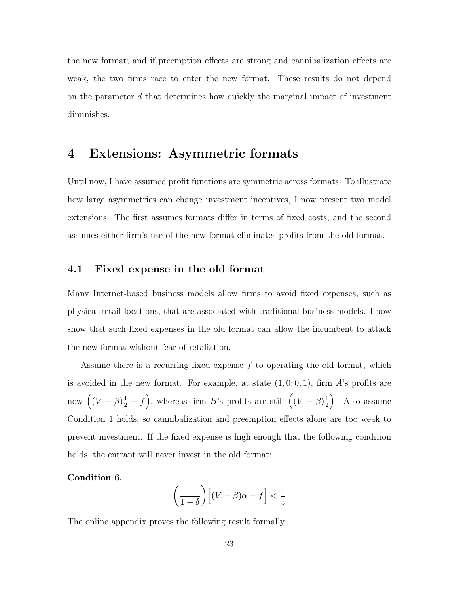the new format; and if preemption effects are strong and cannibalization effects are weak, the two firms race to enter the new format. These results do not depend on the parameter  $d$  that determines how quickly the marginal impact of investment diminishes.

### 4 Extensions: Asymmetric formats

Until now, I have assumed profit functions are symmetric across formats. To illustrate how large asymmetries can change investment incentives, I now present two model extensions. The first assumes formats differ in terms of fixed costs, and the second assumes either firm's use of the new format eliminates profits from the old format.

#### 4.1 Fixed expense in the old format

Many Internet-based business models allow firms to avoid fixed expenses, such as physical retail locations, that are associated with traditional business models. I now show that such fixed expenses in the old format can allow the incumbent to attack the new format without fear of retaliation.

Assume there is a recurring fixed expense f to operating the old format, which is avoided in the new format. For example, at state  $(1,0;0,1)$ , firm A's profits are now  $((V - \beta) \frac{1}{2} - f),$  whereas firm B's profits are still  $((V - \beta) \frac{1}{2})$  $(\frac{1}{2})$ . Also assume Condition 1 holds, so cannibalization and preemption effects alone are too weak to prevent investment. If the fixed expense is high enough that the following condition holds, the entrant will never invest in the old format:

#### Condition 6.

$$
\left(\frac{1}{1-\delta}\right)\left[(V-\beta)\alpha - f\right] < \frac{1}{z}
$$

The online appendix proves the following result formally.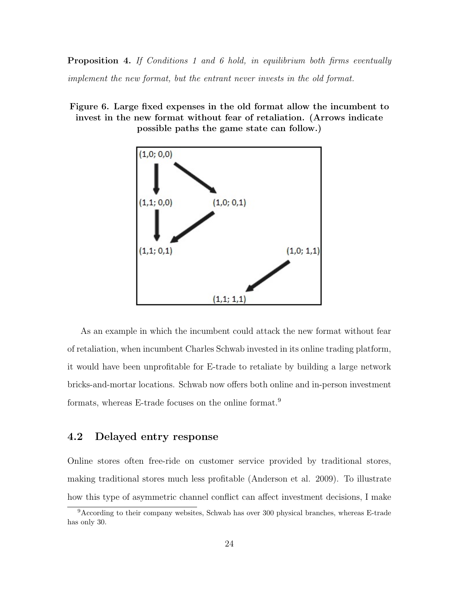**Proposition 4.** If Conditions 1 and 6 hold, in equilibrium both firms eventually implement the new format, but the entrant never invests in the old format.

#### Figure 6. Large fixed expenses in the old format allow the incumbent to invest in the new format without fear of retaliation. (Arrows indicate possible paths the game state can follow.)



As an example in which the incumbent could attack the new format without fear of retaliation, when incumbent Charles Schwab invested in its online trading platform, it would have been unprofitable for E-trade to retaliate by building a large network bricks-and-mortar locations. Schwab now offers both online and in-person investment formats, whereas E-trade focuses on the online format.<sup>9</sup>

#### 4.2 Delayed entry response

Online stores often free-ride on customer service provided by traditional stores, making traditional stores much less profitable (Anderson et al. 2009). To illustrate how this type of asymmetric channel conflict can affect investment decisions, I make

<sup>9</sup>According to their company websites, Schwab has over 300 physical branches, whereas E-trade has only 30.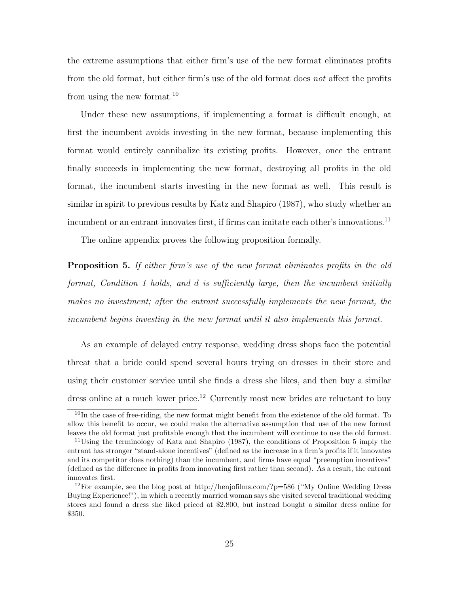the extreme assumptions that either firm's use of the new format eliminates profits from the old format, but either firm's use of the old format does not affect the profits from using the new format.<sup>10</sup>

Under these new assumptions, if implementing a format is difficult enough, at first the incumbent avoids investing in the new format, because implementing this format would entirely cannibalize its existing profits. However, once the entrant finally succeeds in implementing the new format, destroying all profits in the old format, the incumbent starts investing in the new format as well. This result is similar in spirit to previous results by Katz and Shapiro (1987), who study whether an incumbent or an entrant innovates first, if firms can imitate each other's innovations.<sup>11</sup>

The online appendix proves the following proposition formally.

**Proposition 5.** If either firm's use of the new format eliminates profits in the old format, Condition 1 holds, and d is sufficiently large, then the incumbent initially makes no investment; after the entrant successfully implements the new format, the incumbent begins investing in the new format until it also implements this format.

As an example of delayed entry response, wedding dress shops face the potential threat that a bride could spend several hours trying on dresses in their store and using their customer service until she finds a dress she likes, and then buy a similar dress online at a much lower price.<sup>12</sup> Currently most new brides are reluctant to buy

<sup>&</sup>lt;sup>10</sup>In the case of free-riding, the new format might benefit from the existence of the old format. To allow this benefit to occur, we could make the alternative assumption that use of the new format leaves the old format just profitable enough that the incumbent will continue to use the old format.

<sup>&</sup>lt;sup>11</sup>Using the terminology of Katz and Shapiro (1987), the conditions of Proposition 5 imply the entrant has stronger "stand-alone incentives" (defined as the increase in a firm's profits if it innovates and its competitor does nothing) than the incumbent, and firms have equal "preemption incentives" (defined as the difference in profits from innovating first rather than second). As a result, the entrant innovates first.

<sup>&</sup>lt;sup>12</sup>For example, see the blog post at http://henjofilms.com/?p=586 ("My Online Wedding Dress") Buying Experience!"), in which a recently married woman says she visited several traditional wedding stores and found a dress she liked priced at \$2,800, but instead bought a similar dress online for \$350.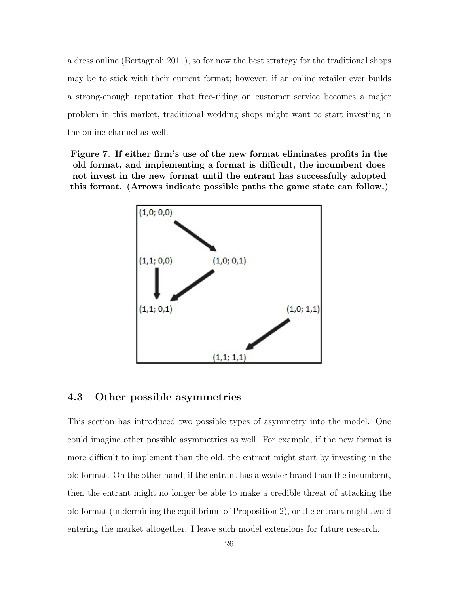a dress online (Bertagnoli 2011), so for now the best strategy for the traditional shops may be to stick with their current format; however, if an online retailer ever builds a strong-enough reputation that free-riding on customer service becomes a major problem in this market, traditional wedding shops might want to start investing in the online channel as well.

Figure 7. If either firm's use of the new format eliminates profits in the old format, and implementing a format is difficult, the incumbent does not invest in the new format until the entrant has successfully adopted this format. (Arrows indicate possible paths the game state can follow.)



#### 4.3 Other possible asymmetries

This section has introduced two possible types of asymmetry into the model. One could imagine other possible asymmetries as well. For example, if the new format is more difficult to implement than the old, the entrant might start by investing in the old format. On the other hand, if the entrant has a weaker brand than the incumbent, then the entrant might no longer be able to make a credible threat of attacking the old format (undermining the equilibrium of Proposition 2), or the entrant might avoid entering the market altogether. I leave such model extensions for future research.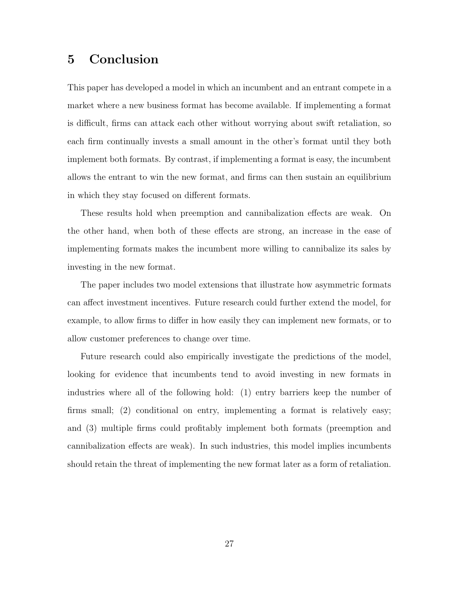### 5 Conclusion

This paper has developed a model in which an incumbent and an entrant compete in a market where a new business format has become available. If implementing a format is difficult, firms can attack each other without worrying about swift retaliation, so each firm continually invests a small amount in the other's format until they both implement both formats. By contrast, if implementing a format is easy, the incumbent allows the entrant to win the new format, and firms can then sustain an equilibrium in which they stay focused on different formats.

These results hold when preemption and cannibalization effects are weak. On the other hand, when both of these effects are strong, an increase in the ease of implementing formats makes the incumbent more willing to cannibalize its sales by investing in the new format.

The paper includes two model extensions that illustrate how asymmetric formats can affect investment incentives. Future research could further extend the model, for example, to allow firms to differ in how easily they can implement new formats, or to allow customer preferences to change over time.

Future research could also empirically investigate the predictions of the model, looking for evidence that incumbents tend to avoid investing in new formats in industries where all of the following hold: (1) entry barriers keep the number of firms small; (2) conditional on entry, implementing a format is relatively easy; and (3) multiple firms could profitably implement both formats (preemption and cannibalization effects are weak). In such industries, this model implies incumbents should retain the threat of implementing the new format later as a form of retaliation.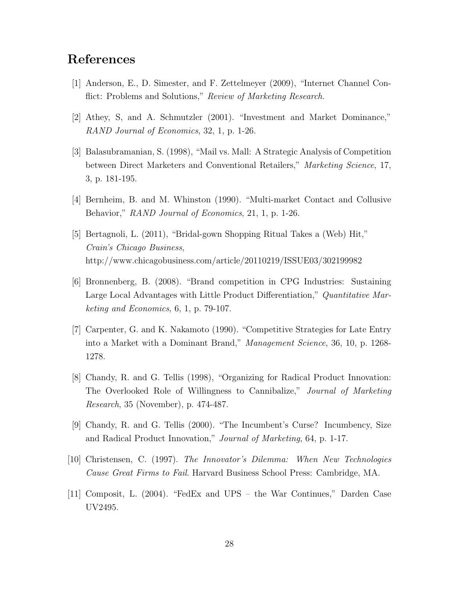### References

- [1] Anderson, E., D. Simester, and F. Zettelmeyer (2009), "Internet Channel Conflict: Problems and Solutions," Review of Marketing Research.
- [2] Athey, S, and A. Schmutzler (2001). "Investment and Market Dominance," RAND Journal of Economics, 32, 1, p. 1-26.
- [3] Balasubramanian, S. (1998), "Mail vs. Mall: A Strategic Analysis of Competition between Direct Marketers and Conventional Retailers," Marketing Science, 17, 3, p. 181-195.
- [4] Bernheim, B. and M. Whinston (1990). "Multi-market Contact and Collusive Behavior," RAND Journal of Economics, 21, 1, p. 1-26.
- [5] Bertagnoli, L. (2011), "Bridal-gown Shopping Ritual Takes a (Web) Hit," Crain's Chicago Business, http://www.chicagobusiness.com/article/20110219/ISSUE03/302199982
- [6] Bronnenberg, B. (2008). "Brand competition in CPG Industries: Sustaining Large Local Advantages with Little Product Differentiation," Quantitative Marketing and Economics, 6, 1, p. 79-107.
- [7] Carpenter, G. and K. Nakamoto (1990). "Competitive Strategies for Late Entry into a Market with a Dominant Brand," Management Science, 36, 10, p. 1268- 1278.
- [8] Chandy, R. and G. Tellis (1998), "Organizing for Radical Product Innovation: The Overlooked Role of Willingness to Cannibalize," Journal of Marketing Research, 35 (November), p. 474-487.
- [9] Chandy, R. and G. Tellis (2000). "The Incumbent's Curse? Incumbency, Size and Radical Product Innovation," Journal of Marketing, 64, p. 1-17.
- [10] Christensen, C. (1997). The Innovator's Dilemma: When New Technologies Cause Great Firms to Fail. Harvard Business School Press: Cambridge, MA.
- [11] Composit, L. (2004). "FedEx and UPS the War Continues," Darden Case UV2495.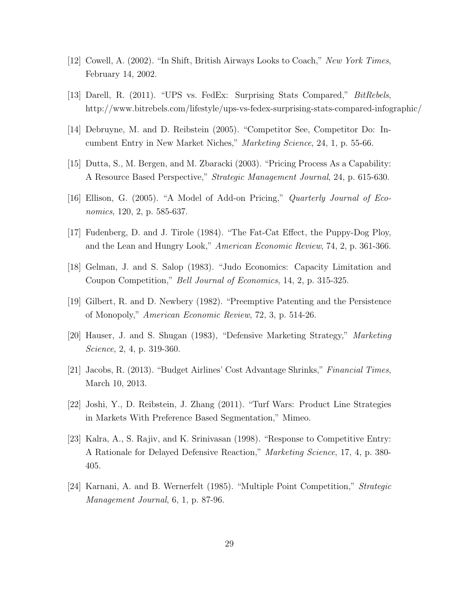- [12] Cowell, A. (2002). "In Shift, British Airways Looks to Coach," New York Times, February 14, 2002.
- [13] Darell, R. (2011). "UPS vs. FedEx: Surprising Stats Compared," BitRebels, http://www.bitrebels.com/lifestyle/ups-vs-fedex-surprising-stats-compared-infographic/
- [14] Debruyne, M. and D. Reibstein (2005). "Competitor See, Competitor Do: Incumbent Entry in New Market Niches," Marketing Science, 24, 1, p. 55-66.
- [15] Dutta, S., M. Bergen, and M. Zbaracki (2003). "Pricing Process As a Capability: A Resource Based Perspective," Strategic Management Journal, 24, p. 615-630.
- [16] Ellison, G. (2005). "A Model of Add-on Pricing," Quarterly Journal of Economics, 120, 2, p. 585-637.
- [17] Fudenberg, D. and J. Tirole (1984). "The Fat-Cat Effect, the Puppy-Dog Ploy, and the Lean and Hungry Look," American Economic Review, 74, 2, p. 361-366.
- [18] Gelman, J. and S. Salop (1983). "Judo Economics: Capacity Limitation and Coupon Competition," Bell Journal of Economics, 14, 2, p. 315-325.
- [19] Gilbert, R. and D. Newbery (1982). "Preemptive Patenting and the Persistence of Monopoly," American Economic Review, 72, 3, p. 514-26.
- [20] Hauser, J. and S. Shugan (1983), "Defensive Marketing Strategy," Marketing Science, 2, 4, p. 319-360.
- [21] Jacobs, R. (2013). "Budget Airlines' Cost Advantage Shrinks," Financial Times, March 10, 2013.
- [22] Joshi, Y., D. Reibstein, J. Zhang (2011). "Turf Wars: Product Line Strategies in Markets With Preference Based Segmentation," Mimeo.
- [23] Kalra, A., S. Rajiv, and K. Srinivasan (1998). "Response to Competitive Entry: A Rationale for Delayed Defensive Reaction," Marketing Science, 17, 4, p. 380- 405.
- [24] Karnani, A. and B. Wernerfelt (1985). "Multiple Point Competition," Strategic Management Journal, 6, 1, p. 87-96.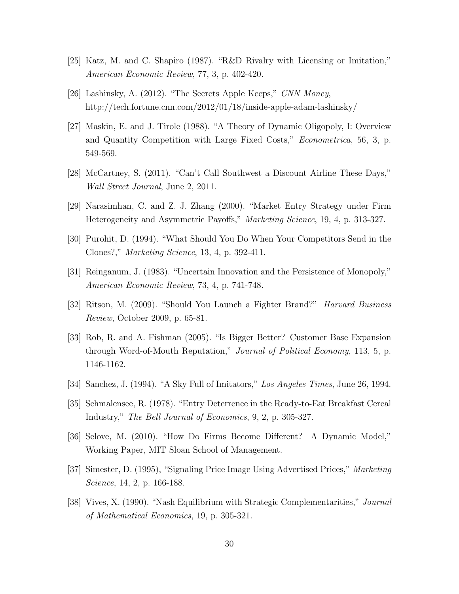- [25] Katz, M. and C. Shapiro (1987). "R&D Rivalry with Licensing or Imitation," American Economic Review, 77, 3, p. 402-420.
- [26] Lashinsky, A. (2012). "The Secrets Apple Keeps," CNN Money, http://tech.fortune.cnn.com/2012/01/18/inside-apple-adam-lashinsky/
- [27] Maskin, E. and J. Tirole (1988). "A Theory of Dynamic Oligopoly, I: Overview and Quantity Competition with Large Fixed Costs," Econometrica, 56, 3, p. 549-569.
- [28] McCartney, S. (2011). "Can't Call Southwest a Discount Airline These Days," Wall Street Journal, June 2, 2011.
- [29] Narasimhan, C. and Z. J. Zhang (2000). "Market Entry Strategy under Firm Heterogeneity and Asymmetric Payoffs," Marketing Science, 19, 4, p. 313-327.
- [30] Purohit, D. (1994). "What Should You Do When Your Competitors Send in the Clones?," Marketing Science, 13, 4, p. 392-411.
- [31] Reinganum, J. (1983). "Uncertain Innovation and the Persistence of Monopoly," American Economic Review, 73, 4, p. 741-748.
- [32] Ritson, M. (2009). "Should You Launch a Fighter Brand?" Harvard Business Review, October 2009, p. 65-81.
- [33] Rob, R. and A. Fishman (2005). "Is Bigger Better? Customer Base Expansion through Word-of-Mouth Reputation," Journal of Political Economy, 113, 5, p. 1146-1162.
- [34] Sanchez, J. (1994). "A Sky Full of Imitators," Los Angeles Times, June 26, 1994.
- [35] Schmalensee, R. (1978). "Entry Deterrence in the Ready-to-Eat Breakfast Cereal Industry," The Bell Journal of Economics, 9, 2, p. 305-327.
- [36] Selove, M. (2010). "How Do Firms Become Different? A Dynamic Model," Working Paper, MIT Sloan School of Management.
- [37] Simester, D. (1995), "Signaling Price Image Using Advertised Prices," Marketing Science, 14, 2, p. 166-188.
- [38] Vives, X. (1990). "Nash Equilibrium with Strategic Complementarities," Journal of Mathematical Economics, 19, p. 305-321.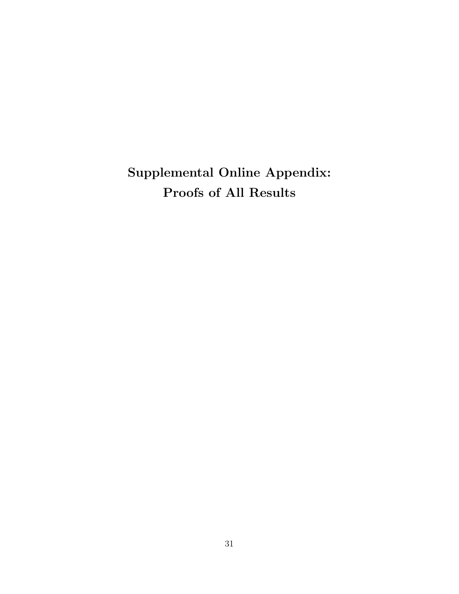Supplemental Online Appendix: Proofs of All Results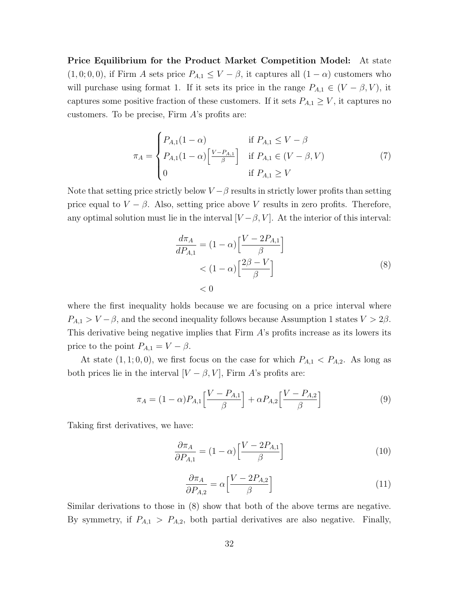Price Equilibrium for the Product Market Competition Model: At state  $(1, 0, 0, 0)$ , if Firm A sets price  $P_{A,1} \leq V - \beta$ , it captures all  $(1 - \alpha)$  customers who will purchase using format 1. If it sets its price in the range  $P_{A,1} \in (V - \beta, V)$ , it captures some positive fraction of these customers. If it sets  $P_{A,1} \geq V$ , it captures no customers. To be precise, Firm A's profits are:

$$
\pi_A = \begin{cases} P_{A,1}(1-\alpha) & \text{if } P_{A,1} \le V - \beta \\ P_{A,1}(1-\alpha) \left[ \frac{V - P_{A,1}}{\beta} \right] & \text{if } P_{A,1} \in (V - \beta, V) \\ 0 & \text{if } P_{A,1} \ge V \end{cases}
$$
(7)

Note that setting price strictly below  $V - \beta$  results in strictly lower profits than setting price equal to  $V - \beta$ . Also, setting price above V results in zero profits. Therefore, any optimal solution must lie in the interval  $[V - \beta, V]$ . At the interior of this interval:

$$
\frac{d\pi_A}{dP_{A,1}} = (1 - \alpha) \left[ \frac{V - 2P_{A,1}}{\beta} \right]
$$
  
< 
$$
< (1 - \alpha) \left[ \frac{2\beta - V}{\beta} \right]
$$
  
< 
$$
< 0
$$
 (8)

where the first inequality holds because we are focusing on a price interval where  $P_{A,1} > V - \beta$ , and the second inequality follows because Assumption 1 states  $V > 2\beta$ . This derivative being negative implies that Firm A's profits increase as its lowers its price to the point  $P_{A,1} = V - \beta$ .

At state  $(1, 1; 0, 0)$ , we first focus on the case for which  $P_{A,1} < P_{A,2}$ . As long as both prices lie in the interval  $[V - \beta, V]$ , Firm A's profits are:

$$
\pi_A = (1 - \alpha) P_{A,1} \left[ \frac{V - P_{A,1}}{\beta} \right] + \alpha P_{A,2} \left[ \frac{V - P_{A,2}}{\beta} \right]
$$
(9)

Taking first derivatives, we have:

$$
\frac{\partial \pi_A}{\partial P_{A,1}} = (1 - \alpha) \left[ \frac{V - 2P_{A,1}}{\beta} \right]
$$
(10)

$$
\frac{\partial \pi_A}{\partial P_{A,2}} = \alpha \left[ \frac{V - 2P_{A,2}}{\beta} \right]
$$
\n(11)

Similar derivations to those in (8) show that both of the above terms are negative. By symmetry, if  $P_{A,1} > P_{A,2}$ , both partial derivatives are also negative. Finally,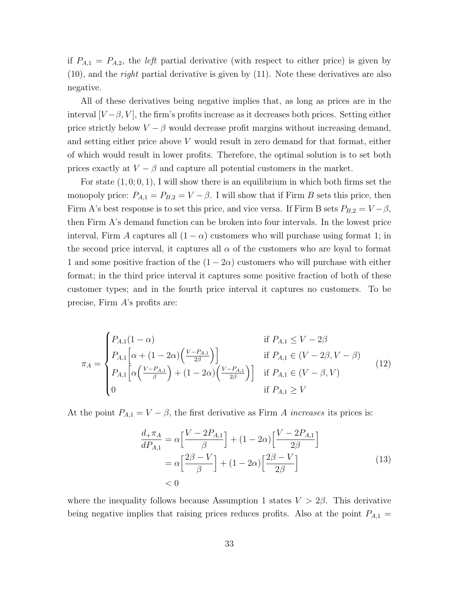if  $P_{A,1} = P_{A,2}$ , the *left* partial derivative (with respect to either price) is given by  $(10)$ , and the *right* partial derivative is given by  $(11)$ . Note these derivatives are also negative.

All of these derivatives being negative implies that, as long as prices are in the interval  $[V-\beta, V]$ , the firm's profits increase as it decreases both prices. Setting either price strictly below  $V - \beta$  would decrease profit margins without increasing demand, and setting either price above V would result in zero demand for that format, either of which would result in lower profits. Therefore, the optimal solution is to set both prices exactly at  $V - \beta$  and capture all potential customers in the market.

For state  $(1, 0, 0, 1)$ , I will show there is an equilibrium in which both firms set the monopoly price:  $P_{A,1} = P_{B,2} = V - \beta$ . I will show that if Firm B sets this price, then Firm A's best response is to set this price, and vice versa. If Firm B sets  $P_{B,2} = V - \beta$ , then Firm A's demand function can be broken into four intervals. In the lowest price interval, Firm A captures all  $(1 - \alpha)$  customers who will purchase using format 1; in the second price interval, it captures all  $\alpha$  of the customers who are loyal to format 1 and some positive fraction of the  $(1 - 2\alpha)$  customers who will purchase with either format; in the third price interval it captures some positive fraction of both of these customer types; and in the fourth price interval it captures no customers. To be precise, Firm  $A$ 's profits are:

$$
\pi_A = \begin{cases}\nP_{A,1}(1-\alpha) & \text{if } P_{A,1} \le V - 2\beta \\
P_{A,1} \left[ \alpha + (1 - 2\alpha) \left( \frac{V - P_{A,1}}{2\beta} \right) \right] & \text{if } P_{A,1} \in (V - 2\beta, V - \beta) \\
P_{A,1} \left[ \alpha \left( \frac{V - P_{A,1}}{\beta} \right) + (1 - 2\alpha) \left( \frac{V - P_{A,1}}{2\beta} \right) \right] & \text{if } P_{A,1} \in (V - \beta, V) \\
0 & \text{if } P_{A,1} \ge V\n\end{cases}
$$
\n(12)

At the point  $P_{A,1} = V - \beta$ , the first derivative as Firm A increases its prices is:

$$
\frac{d_{+}\pi_{A}}{dP_{A,1}} = \alpha \left[ \frac{V - 2P_{A,1}}{\beta} \right] + (1 - 2\alpha) \left[ \frac{V - 2P_{A,1}}{2\beta} \right]
$$

$$
= \alpha \left[ \frac{2\beta - V}{\beta} \right] + (1 - 2\alpha) \left[ \frac{2\beta - V}{2\beta} \right]
$$

$$
< 0
$$
\n(13)

where the inequality follows because Assumption 1 states  $V > 2\beta$ . This derivative being negative implies that raising prices reduces profits. Also at the point  $P_{A,1} =$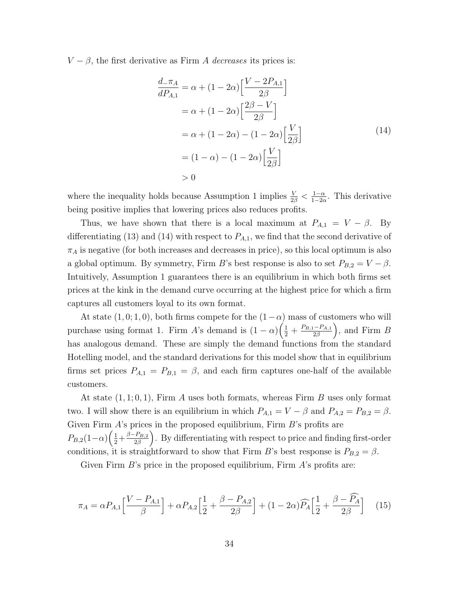$V - \beta$ , the first derivative as Firm A decreases its prices is:

$$
\frac{d_{-\pi_A}}{d_{A,1}} = \alpha + (1 - 2\alpha) \left[ \frac{V - 2P_{A,1}}{2\beta} \right]
$$

$$
= \alpha + (1 - 2\alpha) \left[ \frac{2\beta - V}{2\beta} \right]
$$

$$
= \alpha + (1 - 2\alpha) - (1 - 2\alpha) \left[ \frac{V}{2\beta} \right]
$$

$$
= (1 - \alpha) - (1 - 2\alpha) \left[ \frac{V}{2\beta} \right]
$$

$$
> 0
$$
\n(14)

where the inequality holds because Assumption 1 implies  $\frac{V}{2\beta} < \frac{1-\alpha}{1-2\alpha}$  $\frac{1-\alpha}{1-2\alpha}$ . This derivative being positive implies that lowering prices also reduces profits.

Thus, we have shown that there is a local maximum at  $P_{A,1} = V - \beta$ . By differentiating (13) and (14) with respect to  $P_{A,1}$ , we find that the second derivative of  $\pi_A$  is negative (for both increases and decreases in price), so this local optimum is also a global optimum. By symmetry, Firm B's best response is also to set  $P_{B,2} = V - \beta$ . Intuitively, Assumption 1 guarantees there is an equilibrium in which both firms set prices at the kink in the demand curve occurring at the highest price for which a firm captures all customers loyal to its own format.

At state  $(1, 0; 1, 0)$ , both firms compete for the  $(1-\alpha)$  mass of customers who will purchase using format 1. Firm A's demand is  $(1 - \alpha) \left( \frac{1}{2} + \frac{P_{B,1} - P_{A,1}}{2\beta} \right)$  $\left(\frac{-P_{A,1}}{2\beta}\right)$ , and Firm B has analogous demand. These are simply the demand functions from the standard Hotelling model, and the standard derivations for this model show that in equilibrium firms set prices  $P_{A,1} = P_{B,1} = \beta$ , and each firm captures one-half of the available customers.

At state  $(1, 1; 0, 1)$ , Firm A uses both formats, whereas Firm B uses only format two. I will show there is an equilibrium in which  $P_{A,1} = V - \beta$  and  $P_{A,2} = P_{B,2} = \beta$ . Given Firm  $A$ 's prices in the proposed equilibrium, Firm  $B$ 's profits are  $P_{B,2}(1-\alpha)\left(\frac{1}{2}+\frac{\beta-P_{B,2}}{2\beta}\right)$  $\left(\frac{P_{B,2}}{2\beta}\right)$ . By differentiating with respect to price and finding first-order conditions, it is straightforward to show that Firm B's best response is  $P_{B,2} = \beta$ .

Given Firm  $B$ 's price in the proposed equilibrium, Firm  $A$ 's profits are:

$$
\pi_A = \alpha P_{A,1} \left[ \frac{V - P_{A,1}}{\beta} \right] + \alpha P_{A,2} \left[ \frac{1}{2} + \frac{\beta - P_{A,2}}{2\beta} \right] + (1 - 2\alpha) \widehat{P_A} \left[ \frac{1}{2} + \frac{\beta - \widehat{P_A}}{2\beta} \right] \tag{15}
$$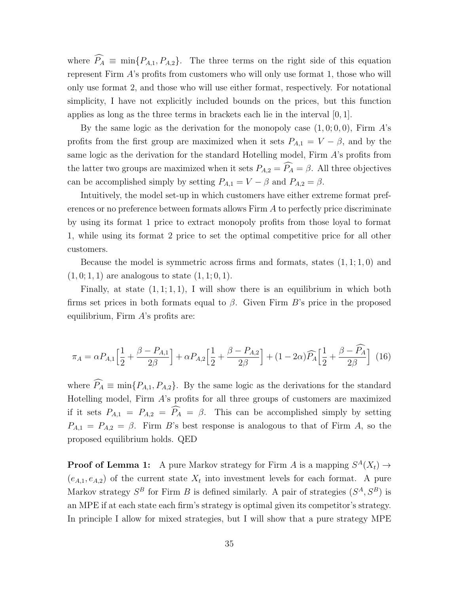where  $\widehat{P}_A \equiv \min\{P_{A,1}, P_{A,2}\}.$  The three terms on the right side of this equation represent Firm A's profits from customers who will only use format 1, those who will only use format 2, and those who will use either format, respectively. For notational simplicity, I have not explicitly included bounds on the prices, but this function applies as long as the three terms in brackets each lie in the interval  $[0, 1]$ .

By the same logic as the derivation for the monopoly case  $(1, 0, 0, 0)$ , Firm A's profits from the first group are maximized when it sets  $P_{A,1} = V - \beta$ , and by the same logic as the derivation for the standard Hotelling model, Firm A's profits from the latter two groups are maximized when it sets  $P_{A,2} = \widehat{P_A} = \beta$ . All three objectives can be accomplished simply by setting  $P_{A,1} = V - \beta$  and  $P_{A,2} = \beta$ .

Intuitively, the model set-up in which customers have either extreme format preferences or no preference between formats allows Firm A to perfectly price discriminate by using its format 1 price to extract monopoly profits from those loyal to format 1, while using its format 2 price to set the optimal competitive price for all other customers.

Because the model is symmetric across firms and formats, states  $(1, 1; 1, 0)$  and  $(1, 0; 1, 1)$  are analogous to state  $(1, 1; 0, 1)$ .

Finally, at state  $(1, 1; 1, 1)$ , I will show there is an equilibrium in which both firms set prices in both formats equal to  $\beta$ . Given Firm B's price in the proposed equilibrium, Firm  $A$ 's profits are:

$$
\pi_A = \alpha P_{A,1} \left[ \frac{1}{2} + \frac{\beta - P_{A,1}}{2\beta} \right] + \alpha P_{A,2} \left[ \frac{1}{2} + \frac{\beta - P_{A,2}}{2\beta} \right] + (1 - 2\alpha) \widehat{P}_A \left[ \frac{1}{2} + \frac{\beta - \widehat{P}_A}{2\beta} \right] (16)
$$

where  $\widehat{P}_A \equiv \min\{P_{A,1}, P_{A,2}\}.$  By the same logic as the derivations for the standard Hotelling model, Firm  $A$ 's profits for all three groups of customers are maximized if it sets  $P_{A,1} = P_{A,2} = \widehat{P}_A = \widehat{\beta}$ . This can be accomplished simply by setting  $P_{A,1} = P_{A,2} = \beta$ . Firm B's best response is analogous to that of Firm A, so the proposed equilibrium holds. QED

**Proof of Lemma 1:** A pure Markov strategy for Firm A is a mapping  $S^A(X_t) \to$  $(e_{A,1}, e_{A,2})$  of the current state  $X_t$  into investment levels for each format. A pure Markov strategy  $S^B$  for Firm B is defined similarly. A pair of strategies  $(S^A, S^B)$  is an MPE if at each state each firm's strategy is optimal given its competitor's strategy. In principle I allow for mixed strategies, but I will show that a pure strategy MPE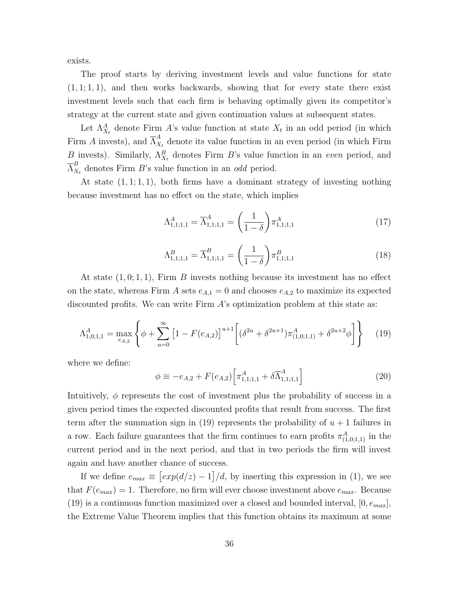exists.

The proof starts by deriving investment levels and value functions for state  $(1, 1; 1, 1)$ , and then works backwards, showing that for every state there exist investment levels such that each firm is behaving optimally given its competitor's strategy at the current state and given continuation values at subsequent states.

Let  $\Lambda_{X_t}^A$  denote Firm A's value function at state  $X_t$  in an odd period (in which Firm A invests), and  $\overline{\Lambda}_X^A$  $\alpha_{X_t}$  denote its value function in an even period (in which Firm B invests). Similarly,  $\Lambda_{X_t}^B$  denotes Firm B's value function in an even period, and  $\overline{\Lambda}_X^B$  $\frac{B}{X_t}$  denotes Firm B's value function in an *odd* period.

At state  $(1, 1; 1, 1)$ , both firms have a dominant strategy of investing nothing because investment has no effect on the state, which implies

$$
\Lambda_{1,1;1,1}^A = \overline{\Lambda}_{1,1;1,1}^A = \left(\frac{1}{1-\delta}\right) \pi_{1,1;1,1}^A \tag{17}
$$

$$
\Lambda_{1,1;1,1}^B = \overline{\Lambda}_{1,1;1,1}^B = \left(\frac{1}{1-\delta}\right) \pi_{1,1;1,1}^B
$$
\n(18)

At state  $(1, 0; 1, 1)$ , Firm B invests nothing because its investment has no effect on the state, whereas Firm A sets  $e_{A,1} = 0$  and chooses  $e_{A,2}$  to maximize its expected discounted profits. We can write Firm A's optimization problem at this state as:

$$
\Lambda_{1,0;1,1}^A = \max_{e_{A,2}} \left\{ \phi + \sum_{u=0}^{\infty} \left[ 1 - F(e_{A,2}) \right]^{u+1} \left[ \left( \delta^{2u} + \delta^{2u+1} \right) \pi_{(1,0;1,1)}^A + \delta^{2u+2} \phi \right] \right\} \tag{19}
$$

where we define:

$$
\phi \equiv -e_{A,2} + F(e_{A,2}) \left[ \pi_{1,1;1,1}^{A} + \delta \overline{\Lambda}_{1,1;1,1}^{A} \right]
$$
\n(20)

Intuitively,  $\phi$  represents the cost of investment plus the probability of success in a given period times the expected discounted profits that result from success. The first term after the summation sign in (19) represents the probability of  $u + 1$  failures in a row. Each failure guarantees that the firm continues to earn profits  $\pi_{(1,0;1,1)}^A$  in the current period and in the next period, and that in two periods the firm will invest again and have another chance of success.

If we define  $e_{max} \equiv [exp(d/z) - 1]/d$ , by inserting this expression in (1), we see that  $F(e_{max}) = 1$ . Therefore, no firm will ever choose investment above  $e_{max}$ . Because (19) is a continuous function maximized over a closed and bounded interval,  $[0, e_{max}]$ , the Extreme Value Theorem implies that this function obtains its maximum at some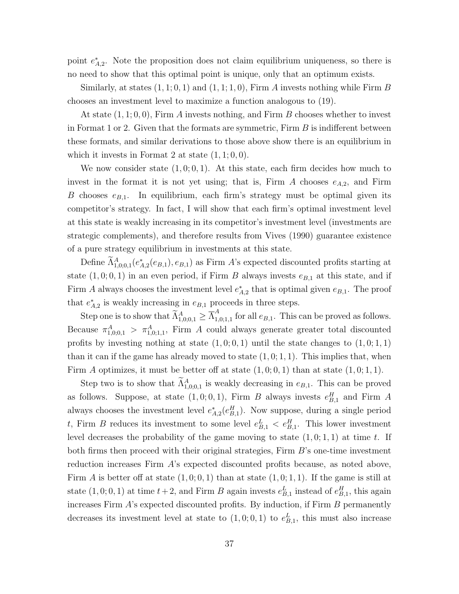point  $e_{A,2}^*$ . Note the proposition does not claim equilibrium uniqueness, so there is no need to show that this optimal point is unique, only that an optimum exists.

Similarly, at states  $(1, 1; 0, 1)$  and  $(1, 1; 1, 0)$ , Firm A invests nothing while Firm B chooses an investment level to maximize a function analogous to (19).

At state  $(1, 1; 0, 0)$ , Firm A invests nothing, and Firm B chooses whether to invest in Format 1 or 2. Given that the formats are symmetric, Firm  $B$  is indifferent between these formats, and similar derivations to those above show there is an equilibrium in which it invests in Format 2 at state  $(1, 1; 0, 0)$ .

We now consider state  $(1, 0, 0, 1)$ . At this state, each firm decides how much to invest in the format it is not yet using; that is, Firm A chooses  $e_{A,2}$ , and Firm B chooses  $e_{B,1}$ . In equilibrium, each firm's strategy must be optimal given its competitor's strategy. In fact, I will show that each firm's optimal investment level at this state is weakly increasing in its competitor's investment level (investments are strategic complements), and therefore results from Vives (1990) guarantee existence of a pure strategy equilibrium in investments at this state.

Define  $\tilde{\Lambda}_{1,0;0,1}^A(e_{A,2}^*(e_{B,1}), e_{B,1})$  as Firm A's expected discounted profits starting at state  $(1, 0, 0, 1)$  in an even period, if Firm B always invests  $e_{B,1}$  at this state, and if Firm A always chooses the investment level  $e_{A,2}^*$  that is optimal given  $e_{B,1}$ . The proof that  $e_{A,2}^*$  is weakly increasing in  $e_{B,1}$  proceeds in three steps.

Step one is to show that  $\widetilde{\Lambda}^A_{1,0;0,1} \geq \overline{\Lambda}^A_{1,0,0}$  $\int_{1,0;1,1}^{1}$  for all  $e_{B,1}$ . This can be proved as follows. Because  $\pi^A_{1,0,0,1} > \pi^A_{1,0,1,1}$ , Firm A could always generate greater total discounted profits by investing nothing at state  $(1, 0; 0, 1)$  until the state changes to  $(1, 0; 1, 1)$ than it can if the game has already moved to state  $(1, 0; 1, 1)$ . This implies that, when Firm A optimizes, it must be better off at state  $(1, 0, 0, 1)$  than at state  $(1, 0, 1, 1)$ .

Step two is to show that  $\Lambda^A_{1,0,0,1}$  is weakly decreasing in  $e_{B,1}$ . This can be proved as follows. Suppose, at state  $(1,0;0,1)$ , Firm B always invests  $e_{B,1}^H$  and Firm A always chooses the investment level  $e_{A,2}^*(e_{B,1}^H)$ . Now suppose, during a single period t, Firm B reduces its investment to some level  $e_{B,1}^L < e_{B,1}^H$ . This lower investment level decreases the probability of the game moving to state  $(1,0;1,1)$  at time t. If both firms then proceed with their original strategies, Firm B's one-time investment reduction increases Firm A's expected discounted profits because, as noted above, Firm A is better off at state  $(1,0,0,1)$  than at state  $(1,0,1,1)$ . If the game is still at state  $(1,0;0,1)$  at time  $t+2$ , and Firm B again invests  $e_{B,1}^L$  instead of  $e_{B,1}^H$ , this again increases Firm  $A$ 's expected discounted profits. By induction, if Firm  $B$  permanently decreases its investment level at state to  $(1,0;0,1)$  to  $e_{B,1}^L$ , this must also increase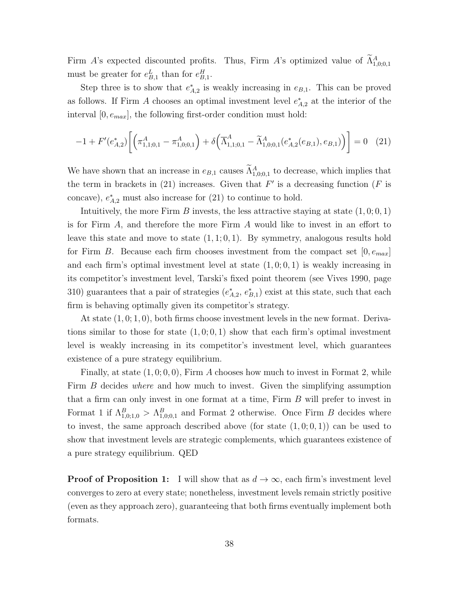Firm A's expected discounted profits. Thus, Firm A's optimized value of  $\Lambda_{1,0;0,1}^A$ must be greater for  $e_{B,1}^L$  than for  $e_{B,1}^H$ .

Step three is to show that  $e_{A,2}^*$  is weakly increasing in  $e_{B,1}$ . This can be proved as follows. If Firm A chooses an optimal investment level  $e_{A,2}^*$  at the interior of the interval  $[0, e_{max}]$ , the following first-order condition must hold:

$$
-1 + F'(e_{A,2}^*) \left[ \left( \pi^A_{1,1;0,1} - \pi^A_{1,0;0,1} \right) + \delta \left( \overline{\Lambda}^A_{1,1;0,1} - \widetilde{\Lambda}^A_{1,0;0,1} (e_{A,2}^*(e_{B,1}), e_{B,1}) \right) \right] = 0 \quad (21)
$$

We have shown that an increase in  $e_{B,1}$  causes  $\Lambda_{1,0;0,1}^A$  to decrease, which implies that the term in brackets in (21) increases. Given that  $F'$  is a decreasing function ( $F$  is concave),  $e_{A,2}^*$  must also increase for (21) to continue to hold.

Intuitively, the more Firm B invests, the less attractive staying at state  $(1, 0; 0, 1)$ is for Firm A, and therefore the more Firm A would like to invest in an effort to leave this state and move to state  $(1, 1; 0, 1)$ . By symmetry, analogous results hold for Firm B. Because each firm chooses investment from the compact set  $[0, e_{max}]$ and each firm's optimal investment level at state  $(1, 0; 0, 1)$  is weakly increasing in its competitor's investment level, Tarski's fixed point theorem (see Vives 1990, page 310) guarantees that a pair of strategies  $(e_{A,2}^*, e_{B,1}^*)$  exist at this state, such that each firm is behaving optimally given its competitor's strategy.

At state  $(1, 0; 1, 0)$ , both firms choose investment levels in the new format. Derivations similar to those for state  $(1, 0, 0, 1)$  show that each firm's optimal investment level is weakly increasing in its competitor's investment level, which guarantees existence of a pure strategy equilibrium.

Finally, at state  $(1, 0, 0, 0)$ , Firm A chooses how much to invest in Format 2, while Firm B decides where and how much to invest. Given the simplifying assumption that a firm can only invest in one format at a time, Firm B will prefer to invest in Format 1 if  $\Lambda_{1,0;1,0}^B > \Lambda_{1,0;0,1}^B$  and Format 2 otherwise. Once Firm B decides where to invest, the same approach described above (for state  $(1,0;0,1)$ ) can be used to show that investment levels are strategic complements, which guarantees existence of a pure strategy equilibrium. QED

**Proof of Proposition 1:** I will show that as  $d \to \infty$ , each firm's investment level converges to zero at every state; nonetheless, investment levels remain strictly positive (even as they approach zero), guaranteeing that both firms eventually implement both formats.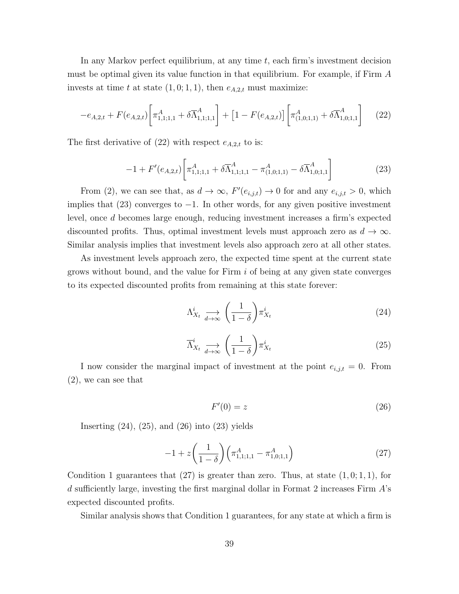In any Markov perfect equilibrium, at any time  $t$ , each firm's investment decision must be optimal given its value function in that equilibrium. For example, if Firm A invests at time t at state  $(1, 0; 1, 1)$ , then  $e_{A,2,t}$  must maximize:

$$
-e_{A,2,t} + F(e_{A,2,t}) \left[ \pi^A_{1,1;1,1} + \delta \overline{\Lambda}^A_{1,1;1,1} \right] + \left[ 1 - F(e_{A,2,t}) \right] \left[ \pi^A_{(1,0;1,1)} + \delta \overline{\Lambda}^A_{1,0;1,1} \right] \tag{22}
$$

The first derivative of  $(22)$  with respect  $e_{A,2,t}$  to is:

$$
-1 + F'(e_{A,2,t}) \left[ \pi_{1,1;1,1}^A + \delta \overline{\Lambda}_{1,1;1,1}^A - \pi_{(1,0;1,1)}^A - \delta \overline{\Lambda}_{1,0;1,1}^A \right]
$$
(23)

From (2), we can see that, as  $d \to \infty$ ,  $F'(e_{i,j,t}) \to 0$  for and any  $e_{i,j,t} > 0$ , which implies that (23) converges to −1. In other words, for any given positive investment level, once d becomes large enough, reducing investment increases a firm's expected discounted profits. Thus, optimal investment levels must approach zero as  $d \to \infty$ . Similar analysis implies that investment levels also approach zero at all other states.

As investment levels approach zero, the expected time spent at the current state grows without bound, and the value for Firm i of being at any given state converges to its expected discounted profits from remaining at this state forever:

$$
\Lambda_{X_t}^i \underset{d \to \infty}{\longrightarrow} \left(\frac{1}{1-\delta}\right) \pi_{X_t}^i \tag{24}
$$

$$
\overline{\Lambda}_{X_t}^i \underset{d \to \infty}{\longrightarrow} \left(\frac{1}{1-\delta}\right) \pi_{X_t}^i \tag{25}
$$

I now consider the marginal impact of investment at the point  $e_{i,j,t} = 0$ . From (2), we can see that

$$
F'(0) = z \tag{26}
$$

Inserting  $(24)$ ,  $(25)$ , and  $(26)$  into  $(23)$  yields

$$
-1 + z \left(\frac{1}{1-\delta}\right) \left(\pi^A_{1,1;1,1} - \pi^A_{1,0;1,1}\right) \tag{27}
$$

Condition 1 guarantees that  $(27)$  is greater than zero. Thus, at state  $(1, 0; 1, 1)$ , for d sufficiently large, investing the first marginal dollar in Format 2 increases Firm  $A$ 's expected discounted profits.

Similar analysis shows that Condition 1 guarantees, for any state at which a firm is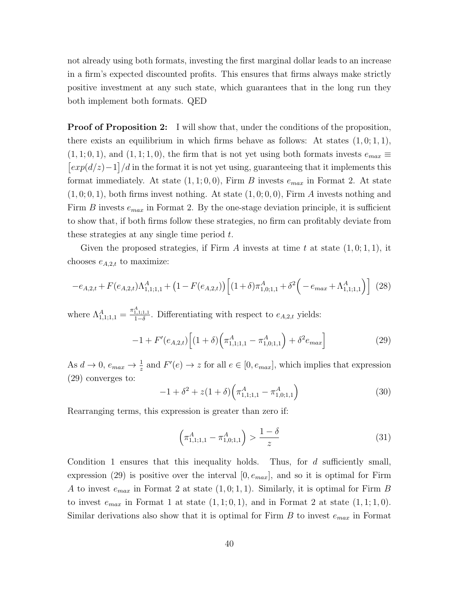not already using both formats, investing the first marginal dollar leads to an increase in a firm's expected discounted profits. This ensures that firms always make strictly positive investment at any such state, which guarantees that in the long run they both implement both formats. QED

**Proof of Proposition 2:** I will show that, under the conditions of the proposition, there exists an equilibrium in which firms behave as follows: At states  $(1,0;1,1)$ ,  $(1, 1; 0, 1)$ , and  $(1, 1; 1, 0)$ , the firm that is not yet using both formats invests  $e_{max} \equiv$  $\left[\exp(d/z)-1\right]/d$  in the format it is not yet using, guaranteeing that it implements this format immediately. At state  $(1, 1; 0, 0)$ , Firm B invests  $e_{max}$  in Format 2. At state  $(1, 0, 0, 1)$ , both firms invest nothing. At state  $(1, 0, 0, 0)$ , Firm A invests nothing and Firm B invests  $e_{max}$  in Format 2. By the one-stage deviation principle, it is sufficient to show that, if both firms follow these strategies, no firm can profitably deviate from these strategies at any single time period  $t$ .

Given the proposed strategies, if Firm A invests at time t at state  $(1,0;1,1)$ , it chooses  $e_{A,2,t}$  to maximize:

$$
-e_{A,2,t} + F(e_{A,2,t})\Lambda_{1,1;1,1}^{A} + (1 - F(e_{A,2,t}))\left[ (1+\delta)\pi_{1,0;1,1}^{A} + \delta^{2}(-e_{max} + \Lambda_{1,1;1,1}^{A}) \right] (28)
$$

where  $\Lambda_{1,1;1,1}^A = \frac{\pi_{1,1;1,1}^A}{1-\delta}$ . Differentiating with respect to  $e_{A,2,t}$  yields:

$$
-1 + F'(e_{A,2,t}) \left[ (1+\delta) \left( \pi^A_{1,1,1,1} - \pi^A_{1,0,1,1} \right) + \delta^2 e_{max} \right]
$$
 (29)

As  $d \to 0$ ,  $e_{max} \to \frac{1}{z}$  and  $F'(e) \to z$  for all  $e \in [0, e_{max}]$ , which implies that expression (29) converges to:

$$
-1 + \delta^2 + z(1+\delta) \left(\pi^A_{1,1;1,1} - \pi^A_{1,0;1,1}\right) \tag{30}
$$

Rearranging terms, this expression is greater than zero if:

$$
\left(\pi_{1,1;1,1}^A - \pi_{1,0;1,1}^A\right) > \frac{1-\delta}{z} \tag{31}
$$

Condition 1 ensures that this inequality holds. Thus, for  $d$  sufficiently small, expression (29) is positive over the interval  $[0, e_{max}]$ , and so it is optimal for Firm A to invest  $e_{max}$  in Format 2 at state  $(1,0;1,1)$ . Similarly, it is optimal for Firm B to invest  $e_{max}$  in Format 1 at state  $(1, 1; 0, 1)$ , and in Format 2 at state  $(1, 1; 1, 0)$ . Similar derivations also show that it is optimal for Firm  $B$  to invest  $e_{max}$  in Format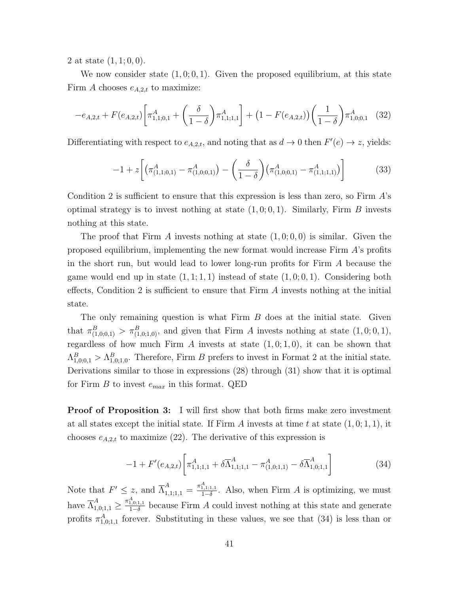2 at state  $(1, 1; 0, 0)$ .

We now consider state  $(1, 0, 0, 1)$ . Given the proposed equilibrium, at this state Firm A chooses  $e_{A,2,t}$  to maximize:

$$
-e_{A,2,t} + F(e_{A,2,t}) \left[ \pi_{1,1;0,1}^{A} + \left( \frac{\delta}{1-\delta} \right) \pi_{1,1;1,1}^{A} \right] + (1 - F(e_{A,2,t})) \left( \frac{1}{1-\delta} \right) \pi_{1,0;0,1}^{A} \tag{32}
$$

Differentiating with respect to  $e_{A,2,t}$ , and noting that as  $d \to 0$  then  $F'(e) \to z$ , yields:

$$
-1 + z \left[ \left( \pi^A_{(1,1;0,1)} - \pi^A_{(1,0;0,1)} \right) - \left( \frac{\delta}{1-\delta} \right) \left( \pi^A_{(1,0;0,1)} - \pi^A_{(1,1;1,1)} \right) \right]
$$
(33)

Condition 2 is sufficient to ensure that this expression is less than zero, so Firm  $A$ 's optimal strategy is to invest nothing at state  $(1, 0; 0, 1)$ . Similarly, Firm B invests nothing at this state.

The proof that Firm A invests nothing at state  $(1, 0; 0, 0)$  is similar. Given the proposed equilibrium, implementing the new format would increase Firm A's profits in the short run, but would lead to lower long-run profits for Firm A because the game would end up in state  $(1, 1; 1, 1)$  instead of state  $(1, 0; 0, 1)$ . Considering both effects, Condition 2 is sufficient to ensure that  $Firm A$  invests nothing at the initial state.

The only remaining question is what Firm  $B$  does at the initial state. Given that  $\pi_{(1,0;0,1)}^B > \pi_{(1,0;1,0)}^B$ , and given that Firm A invests nothing at state  $(1,0;0,1)$ , regardless of how much Firm  $A$  invests at state  $(1, 0; 1, 0)$ , it can be shown that  $\Lambda_{1,0;0,1}^B > \Lambda_{1,0;1,0}^B$ . Therefore, Firm B prefers to invest in Format 2 at the initial state. Derivations similar to those in expressions (28) through (31) show that it is optimal for Firm B to invest  $e_{max}$  in this format. QED

**Proof of Proposition 3:** I will first show that both firms make zero investment at all states except the initial state. If Firm A invests at time t at state  $(1,0;1,1)$ , it chooses  $e_{A,2,t}$  to maximize (22). The derivative of this expression is

$$
-1 + F'(e_{A,2,t}) \left[ \pi_{1,1;1,1}^A + \delta \overline{\Lambda}_{1,1;1,1}^A - \pi_{(1,0;1,1)}^A - \delta \overline{\Lambda}_{1,0;1,1}^A \right]
$$
(34)

Note that  $F' \leq z$ , and  $\overline{\Lambda}_{1,1;1,1}^A = \frac{\pi_{1,1;1,1}^A}{1-\delta}$ . Also, when Firm A is optimizing, we must have  $\overline{\Lambda}_{1,0;1,1}^{A} \ge \frac{\pi_{1,0;1,1}^{A}}{1-\delta}$  because Firm A could invest nothing at this state and generate profits  $\pi^A_{1,0;1,1}$  forever. Substituting in these values, we see that (34) is less than or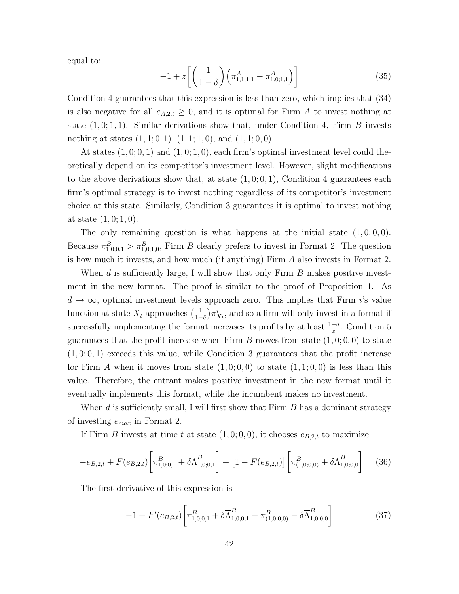equal to:

$$
-1 + z \left[ \left( \frac{1}{1-\delta} \right) \left( \pi^A_{1,1,1,1} - \pi^A_{1,0,1,1} \right) \right]
$$
 (35)

Condition 4 guarantees that this expression is less than zero, which implies that (34) is also negative for all  $e_{A,2,t} \geq 0$ , and it is optimal for Firm A to invest nothing at state  $(1, 0; 1, 1)$ . Similar derivations show that, under Condition 4, Firm B invests nothing at states  $(1, 1; 0, 1), (1, 1; 1, 0),$  and  $(1, 1; 0, 0)$ .

At states  $(1,0;0,1)$  and  $(1,0;1,0)$ , each firm's optimal investment level could theoretically depend on its competitor's investment level. However, slight modifications to the above derivations show that, at state  $(1, 0, 0, 1)$ , Condition 4 guarantees each firm's optimal strategy is to invest nothing regardless of its competitor's investment choice at this state. Similarly, Condition 3 guarantees it is optimal to invest nothing at state  $(1, 0; 1, 0)$ .

The only remaining question is what happens at the initial state  $(1, 0, 0, 0)$ . Because  $\pi_{1,0;0,1}^B > \pi_{1,0;1,0}^B$ , Firm B clearly prefers to invest in Format 2. The question is how much it invests, and how much (if anything) Firm A also invests in Format 2.

When d is sufficiently large, I will show that only Firm  $B$  makes positive investment in the new format. The proof is similar to the proof of Proposition 1. As  $d \to \infty$ , optimal investment levels approach zero. This implies that Firm i's value function at state  $X_t$  approaches  $\left(\frac{1}{1-t}\right)$  $\frac{1}{1-\delta}$ ) $\pi^i_{X_t}$ , and so a firm will only invest in a format if successfully implementing the format increases its profits by at least  $\frac{1-\delta}{z}$ . Condition 5 guarantees that the profit increase when Firm  $B$  moves from state  $(1, 0, 0, 0)$  to state  $(1, 0, 0, 1)$  exceeds this value, while Condition 3 guarantees that the profit increase for Firm A when it moves from state  $(1,0;0,0)$  to state  $(1,1;0,0)$  is less than this value. Therefore, the entrant makes positive investment in the new format until it eventually implements this format, while the incumbent makes no investment.

When  $d$  is sufficiently small, I will first show that Firm  $B$  has a dominant strategy of investing  $e_{max}$  in Format 2.

If Firm B invests at time t at state  $(1, 0, 0, 0)$ , it chooses  $e_{B,2,t}$  to maximize

$$
-e_{B,2,t} + F(e_{B,2,t}) \left[ \pi_{1,0;0,1}^B + \delta \overline{\Lambda}_{1,0;0,1}^B \right] + \left[ 1 - F(e_{B,2,t}) \right] \left[ \pi_{(1,0;0,0)}^B + \delta \overline{\Lambda}_{1,0;0,0}^B \right] \tag{36}
$$

The first derivative of this expression is

$$
-1 + F'(e_{B,2,t}) \left[ \pi_{1,0;0,1}^B + \delta \overline{\Lambda}_{1,0;0,1}^B - \pi_{(1,0;0,0)}^B - \delta \overline{\Lambda}_{1,0;0,0}^B \right]
$$
(37)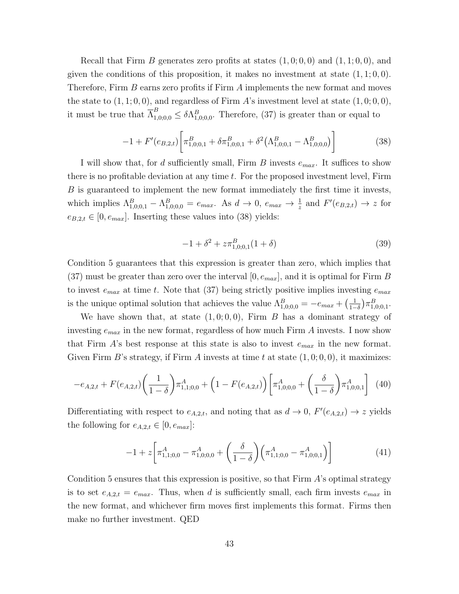Recall that Firm B generates zero profits at states  $(1,0;0,0)$  and  $(1,1;0,0)$ , and given the conditions of this proposition, it makes no investment at state  $(1, 1; 0, 0)$ . Therefore, Firm B earns zero profits if Firm A implements the new format and moves the state to  $(1, 1; 0, 0)$ , and regardless of Firm A's investment level at state  $(1, 0; 0, 0)$ , it must be true that  $\overline{\Lambda}_{1,0;0,0}^B \leq \delta \Lambda_{1,0;0,0}^B$ . Therefore, (37) is greater than or equal to

$$
-1 + F'(e_{B,2,t}) \left[ \pi^B_{1,0;0,1} + \delta \pi^B_{1,0;0,1} + \delta^2 (\Lambda^B_{1,0;0,1} - \Lambda^B_{1,0;0,0}) \right]
$$
(38)

I will show that, for d sufficiently small, Firm B invests  $e_{max}$ . It suffices to show there is no profitable deviation at any time  $t$ . For the proposed investment level, Firm B is guaranteed to implement the new format immediately the first time it invests, which implies  $\Lambda_{1,0;0,1}^B - \Lambda_{1,0;0,0}^B = e_{max}$ . As  $d \to 0$ ,  $e_{max} \to \frac{1}{z}$  and  $F'(e_{B,2,t}) \to z$  for  $e_{B,2,t} \in [0, e_{max}]$ . Inserting these values into (38) yields:

$$
-1 + \delta^2 + z \pi^B_{1,0;0,1}(1+\delta) \tag{39}
$$

Condition 5 guarantees that this expression is greater than zero, which implies that  $(37)$  must be greater than zero over the interval  $[0, e_{max}]$ , and it is optimal for Firm B to invest  $e_{max}$  at time t. Note that (37) being strictly positive implies investing  $e_{max}$ is the unique optimal solution that achieves the value  $\Lambda_{1,0;0,0}^B = -e_{max} + \left(\frac{1}{1-\epsilon_0}\right)$  $\frac{1}{1-\delta}$ )  $\pi_{1,0;0,1}^B$ .

We have shown that, at state  $(1, 0, 0, 0)$ , Firm B has a dominant strategy of investing  $e_{max}$  in the new format, regardless of how much Firm A invests. I now show that Firm  $A$ 's best response at this state is also to invest  $e_{max}$  in the new format. Given Firm B's strategy, if Firm A invests at time t at state  $(1, 0, 0, 0)$ , it maximizes:

$$
-e_{A,2,t} + F(e_{A,2,t}) \left(\frac{1}{1-\delta}\right) \pi_{1,1;0,0}^A + \left(1 - F(e_{A,2,t})\right) \left[\pi_{1,0;0,0}^A + \left(\frac{\delta}{1-\delta}\right) \pi_{1,0;0,1}^A\right] \tag{40}
$$

Differentiating with respect to  $e_{A,2,t}$ , and noting that as  $d \to 0$ ,  $F'(e_{A,2,t}) \to z$  yields the following for  $e_{A,2,t} \in [0, e_{max}]$ :

$$
-1 + z \left[ \pi_{1,1;0,0}^{A} - \pi_{1,0;0,0}^{A} + \left( \frac{\delta}{1-\delta} \right) \left( \pi_{1,1;0,0}^{A} - \pi_{1,0;0,1}^{A} \right) \right]
$$
(41)

Condition 5 ensures that this expression is positive, so that Firm  $\hat{A}$ 's optimal strategy is to set  $e_{A,2,t} = e_{max}$ . Thus, when d is sufficiently small, each firm invests  $e_{max}$  in the new format, and whichever firm moves first implements this format. Firms then make no further investment. QED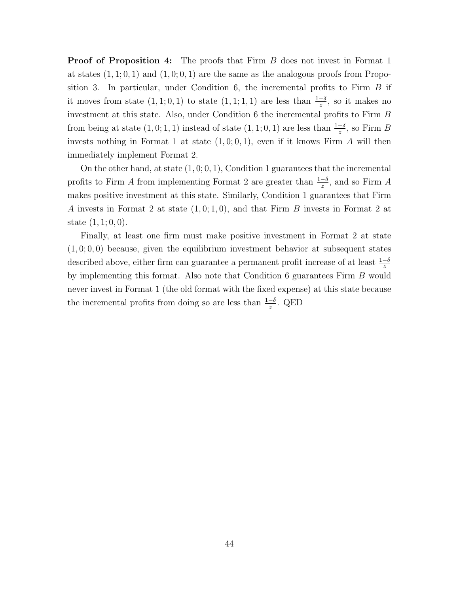**Proof of Proposition 4:** The proofs that Firm B does not invest in Format 1 at states  $(1, 1; 0, 1)$  and  $(1, 0; 0, 1)$  are the same as the analogous proofs from Proposition 3. In particular, under Condition 6, the incremental profits to Firm B if it moves from state  $(1,1;0,1)$  to state  $(1,1;1,1)$  are less than  $\frac{1-\delta}{z}$ , so it makes no investment at this state. Also, under Condition 6 the incremental profits to Firm B from being at state  $(1,0;1,1)$  instead of state  $(1,1;0,1)$  are less than  $\frac{1-\delta}{z}$ , so Firm B invests nothing in Format 1 at state  $(1,0,0,1)$ , even if it knows Firm A will then immediately implement Format 2.

On the other hand, at state  $(1, 0, 0, 1)$ , Condition 1 guarantees that the incremental profits to Firm A from implementing Format 2 are greater than  $\frac{1-\delta}{z}$ , and so Firm A makes positive investment at this state. Similarly, Condition 1 guarantees that Firm A invests in Format 2 at state  $(1, 0, 1, 0)$ , and that Firm B invests in Format 2 at state  $(1, 1; 0, 0)$ .

Finally, at least one firm must make positive investment in Format 2 at state  $(1, 0, 0, 0)$  because, given the equilibrium investment behavior at subsequent states described above, either firm can guarantee a permanent profit increase of at least  $\frac{1-\delta}{z}$ by implementing this format. Also note that Condition 6 guarantees Firm B would never invest in Format 1 (the old format with the fixed expense) at this state because the incremental profits from doing so are less than  $\frac{1-\delta}{z}$ . QED